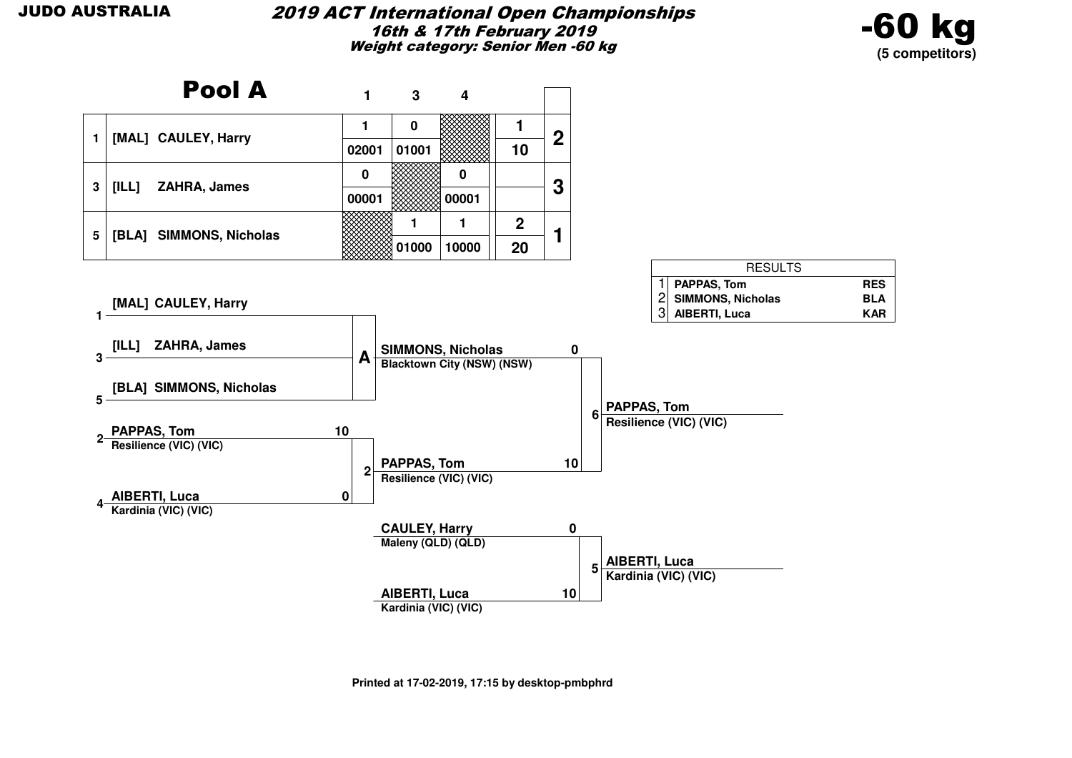

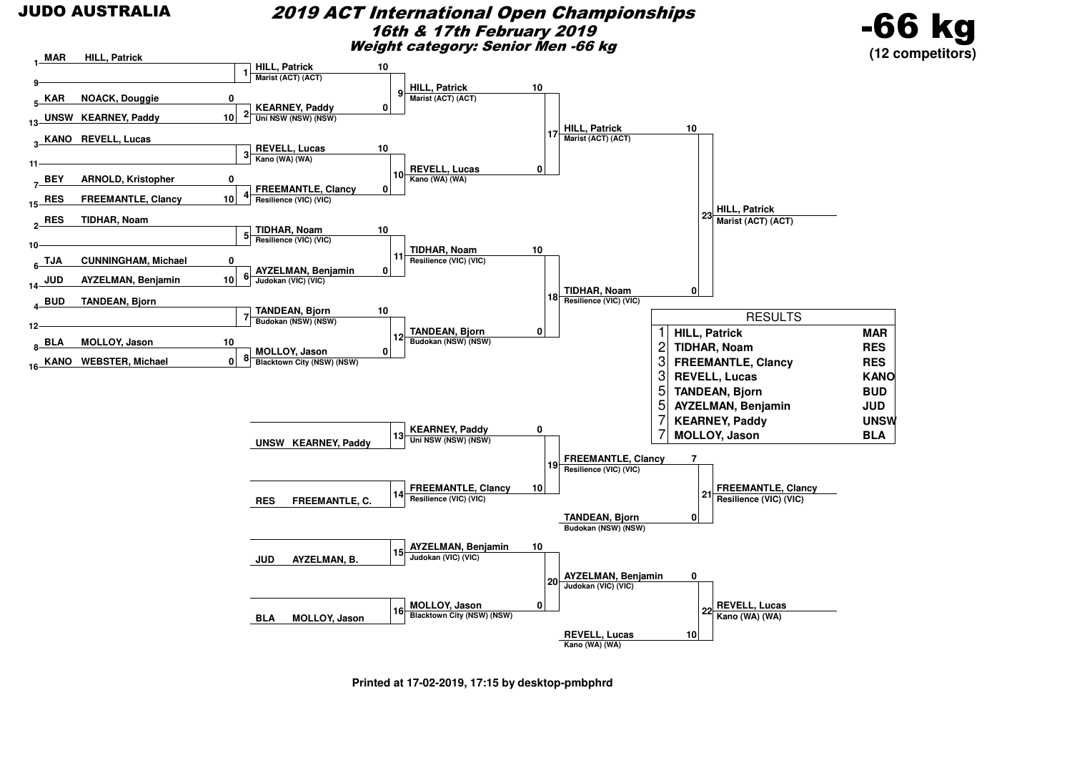#### 2019 ACT International Open Championships16th & 17th February 2019Weight category: Senior Men -66 kg





**Printed at 17-02-2019, 17:15 by desktop-pmbphrd**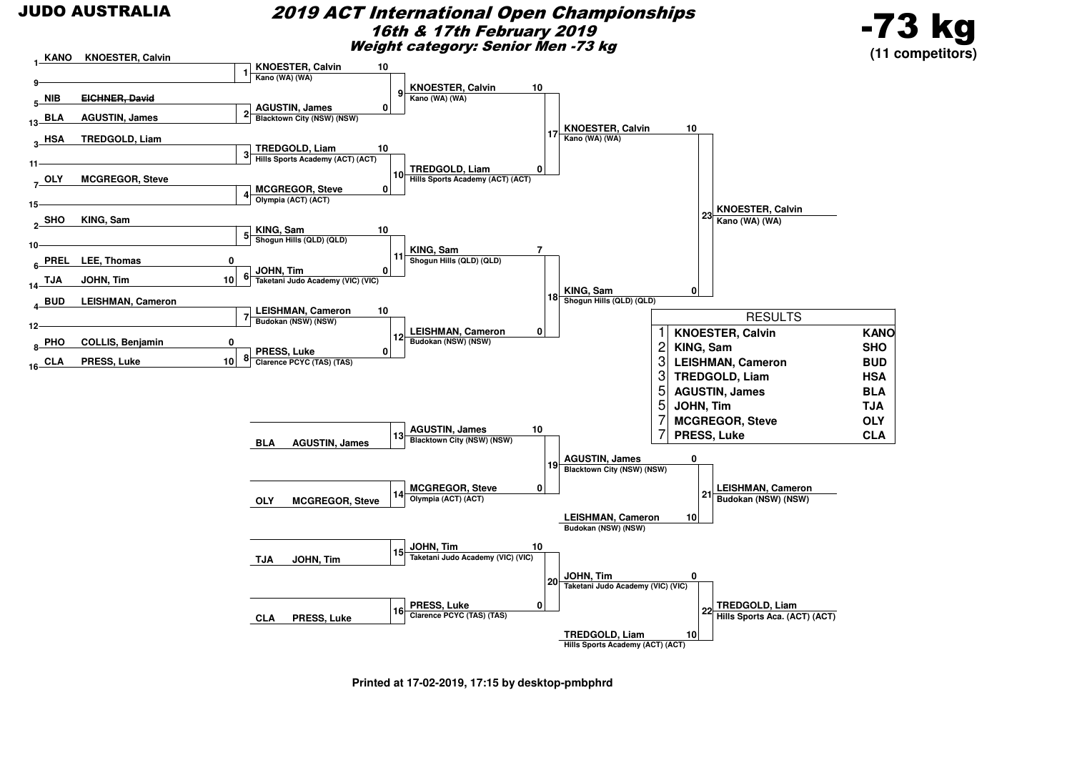#### 2019 ACT International Open Championships16th & 17th February 2019Weight category: Senior Men -73 kg





**Printed at 17-02-2019, 17:15 by desktop-pmbphrd**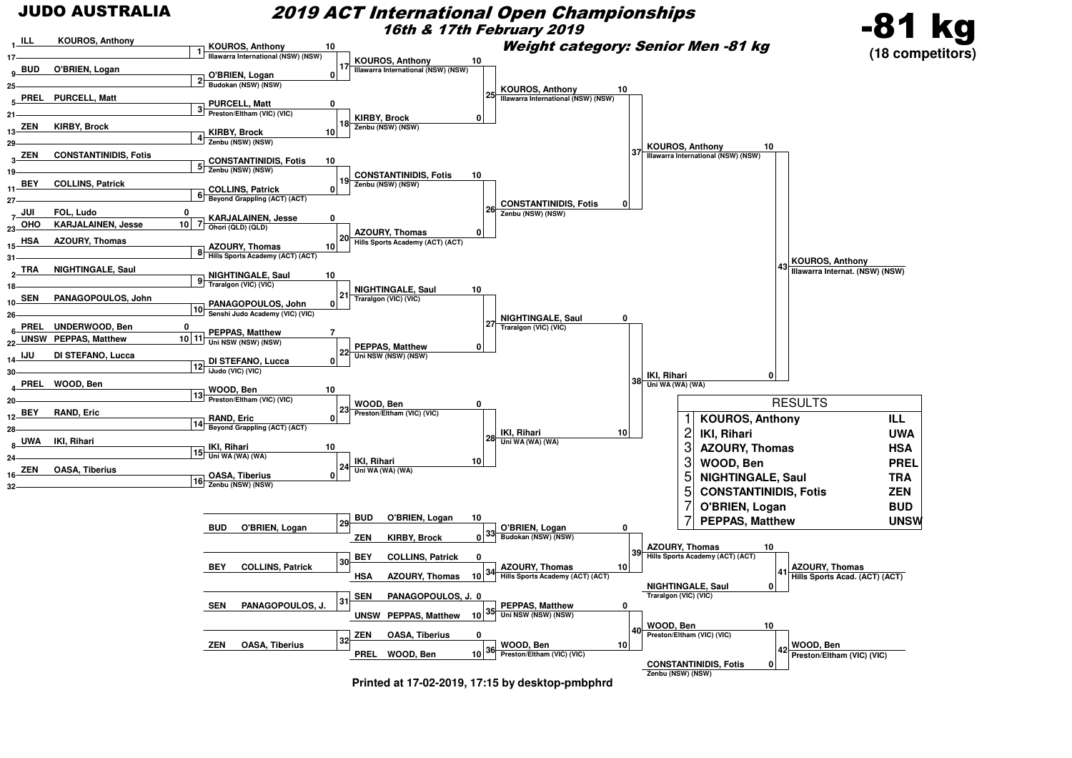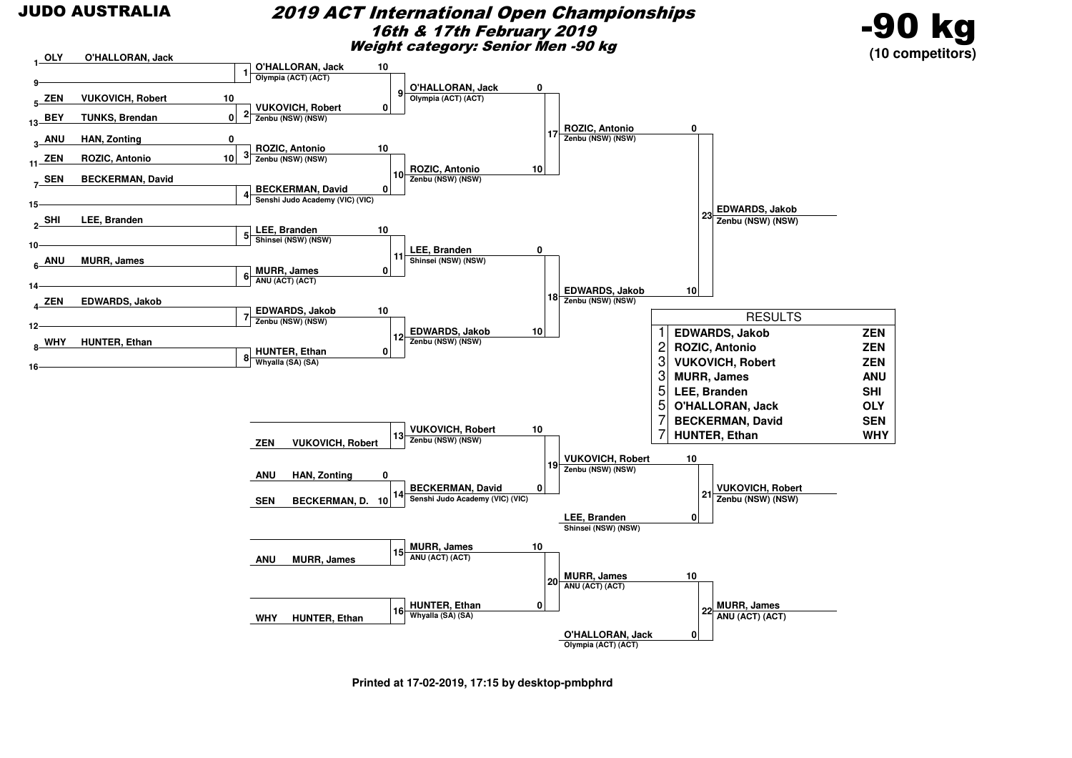#### 2019 ACT International Open Championships16th & 17th February 2019Weight category: Senior Men -90 kg





**Printed at 17-02-2019, 17:15 by desktop-pmbphrd**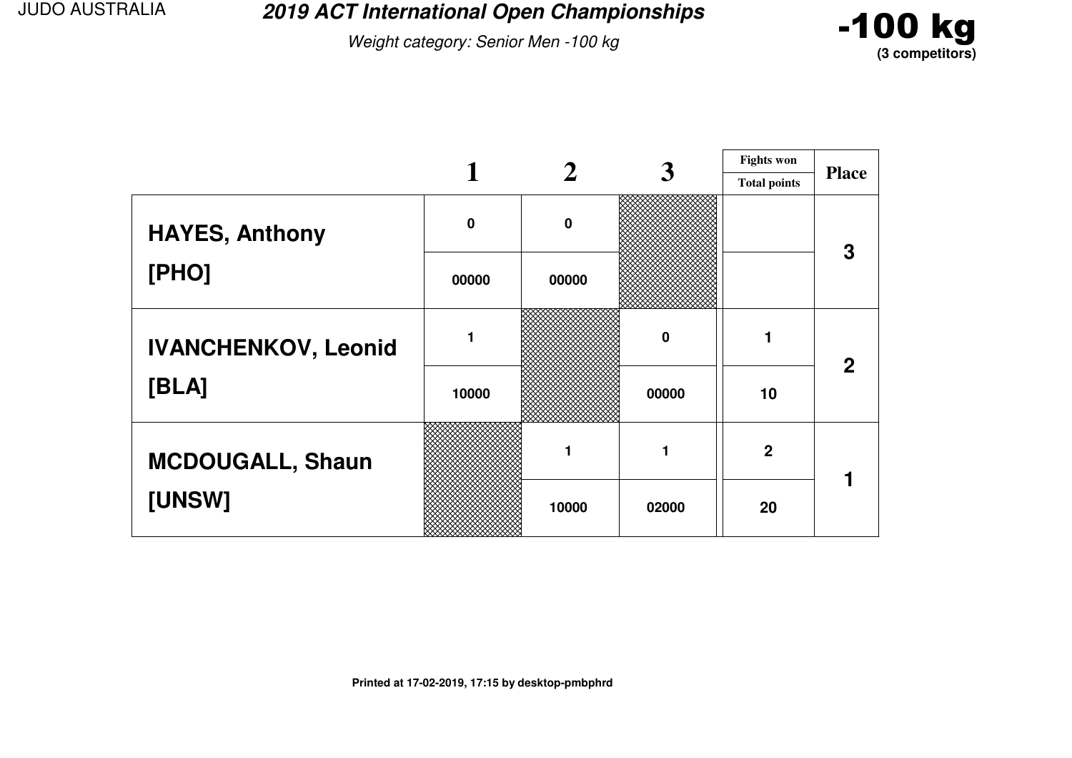**2019 ACT International Open Championships**

Weight category: Senior Men -100 kg



|                            |             |             | 3     | <b>Fights won</b>   |              |
|----------------------------|-------------|-------------|-------|---------------------|--------------|
|                            |             |             |       | <b>Total points</b> | <b>Place</b> |
| <b>HAYES, Anthony</b>      | $\mathbf 0$ | $\mathbf 0$ |       |                     | 3            |
| [PHO]                      | 00000       | 00000       |       |                     |              |
| <b>IVANCHENKOV, Leonid</b> |             |             | 0     |                     | $\mathbf{2}$ |
| [BLA]                      | 10000       |             | 00000 | 10                  |              |
| <b>MCDOUGALL, Shaun</b>    |             | 1           | 1     | $\mathbf 2$         |              |
| [UNSW]                     |             | 10000       | 02000 | 20                  |              |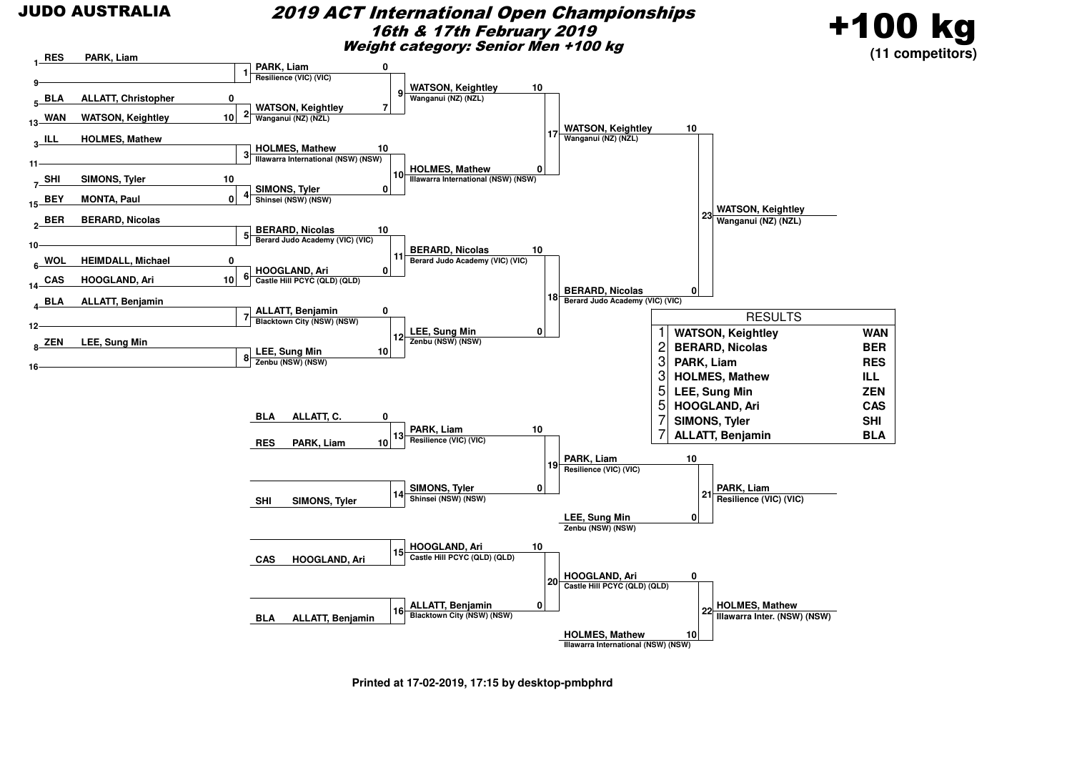#### 2019 ACT International Open Championships16th & 17th February 2019Weight category: Senior Men +100 kg





**Printed at 17-02-2019, 17:15 by desktop-pmbphrd**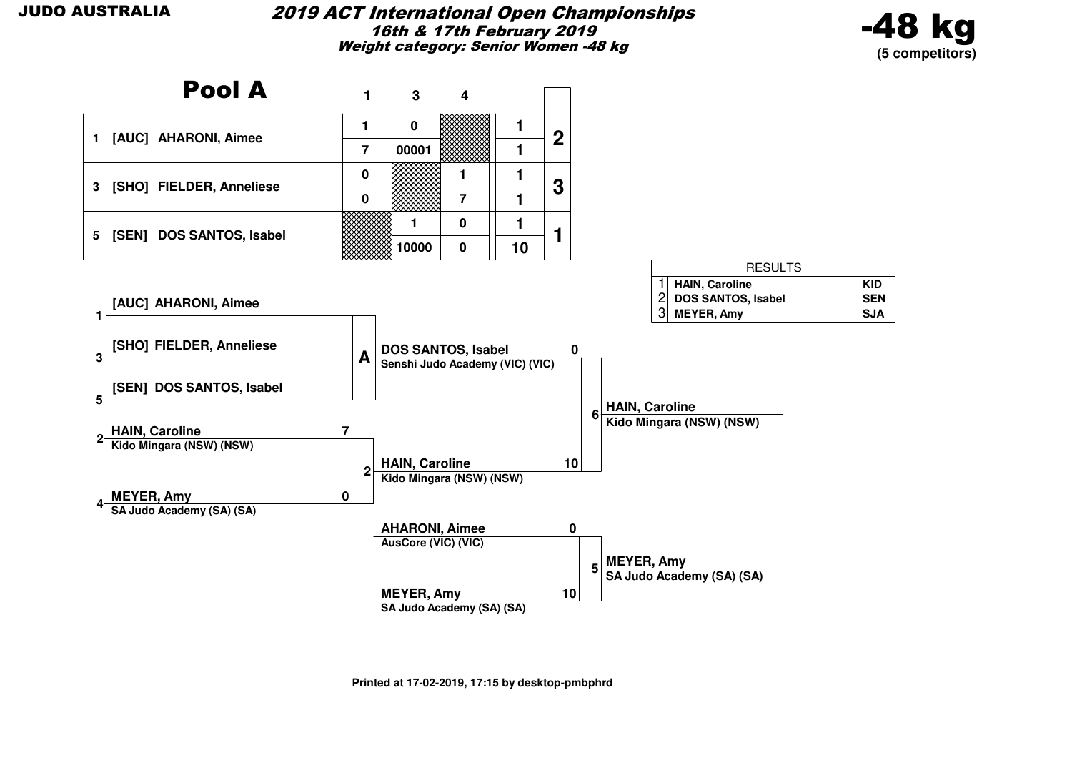#### 2019 ACT International Open Championships16th & 17th February 2019Weight category: Senior Women -48 kg



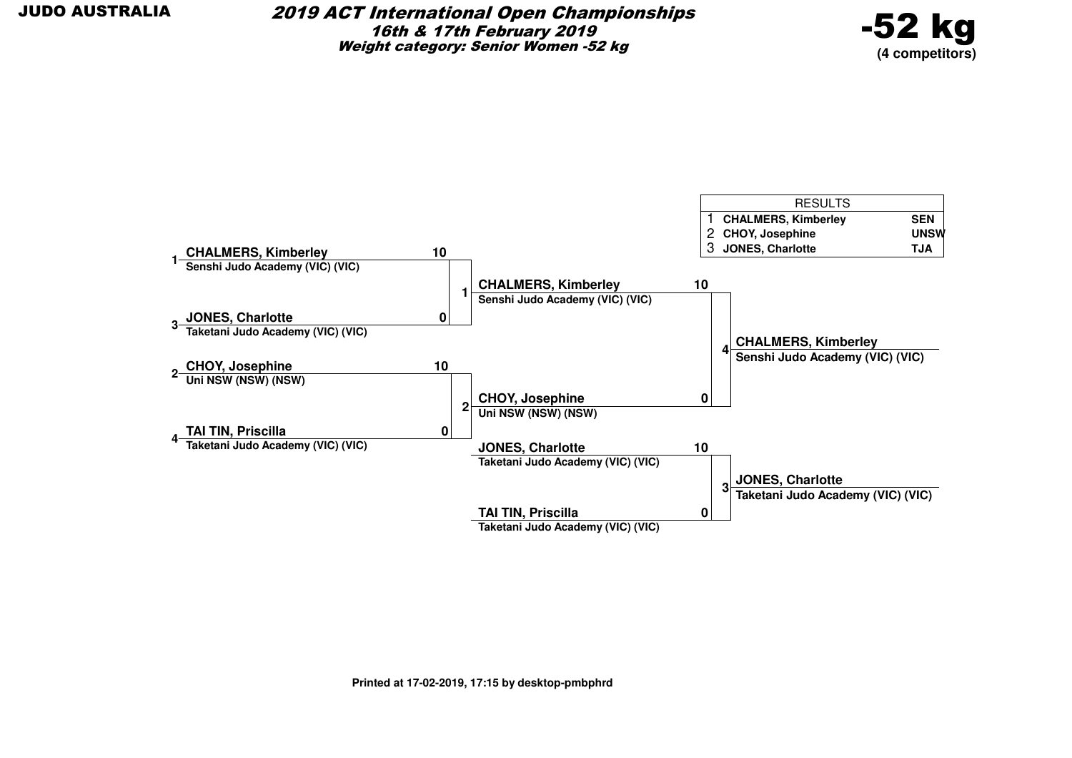

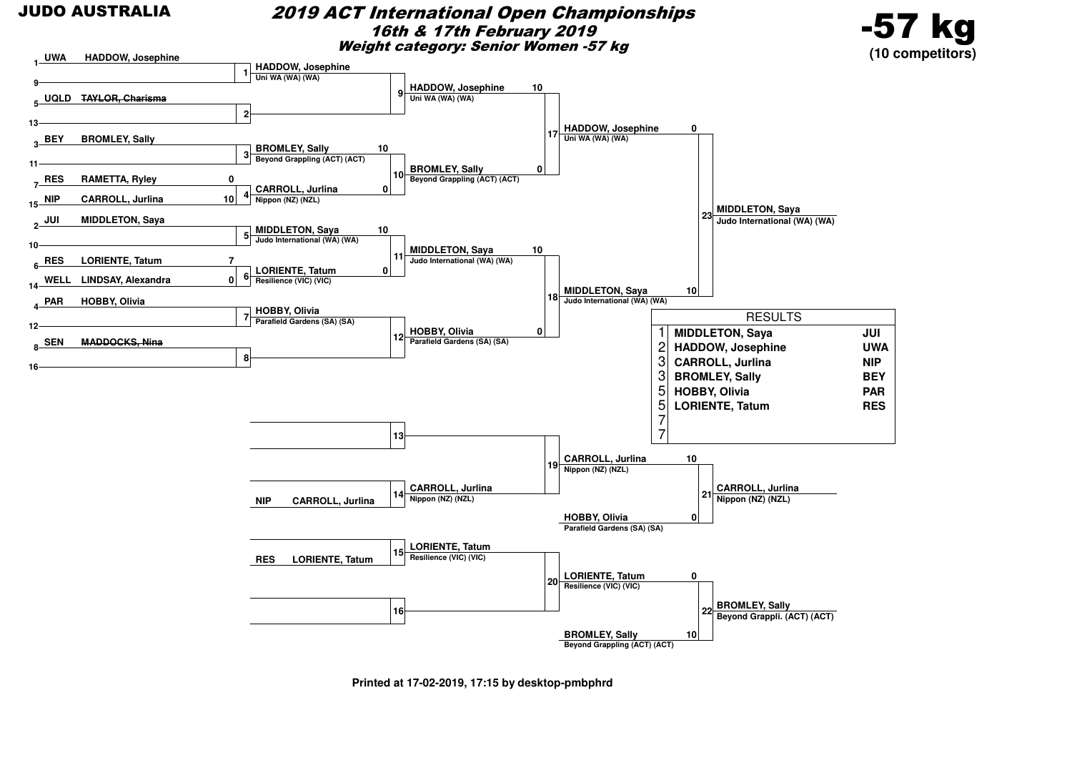#### 2019 ACT International Open Championships16th & 17th February 2019Weight category: Senior Women -57 kg





**Printed at 17-02-2019, 17:15 by desktop-pmbphrd**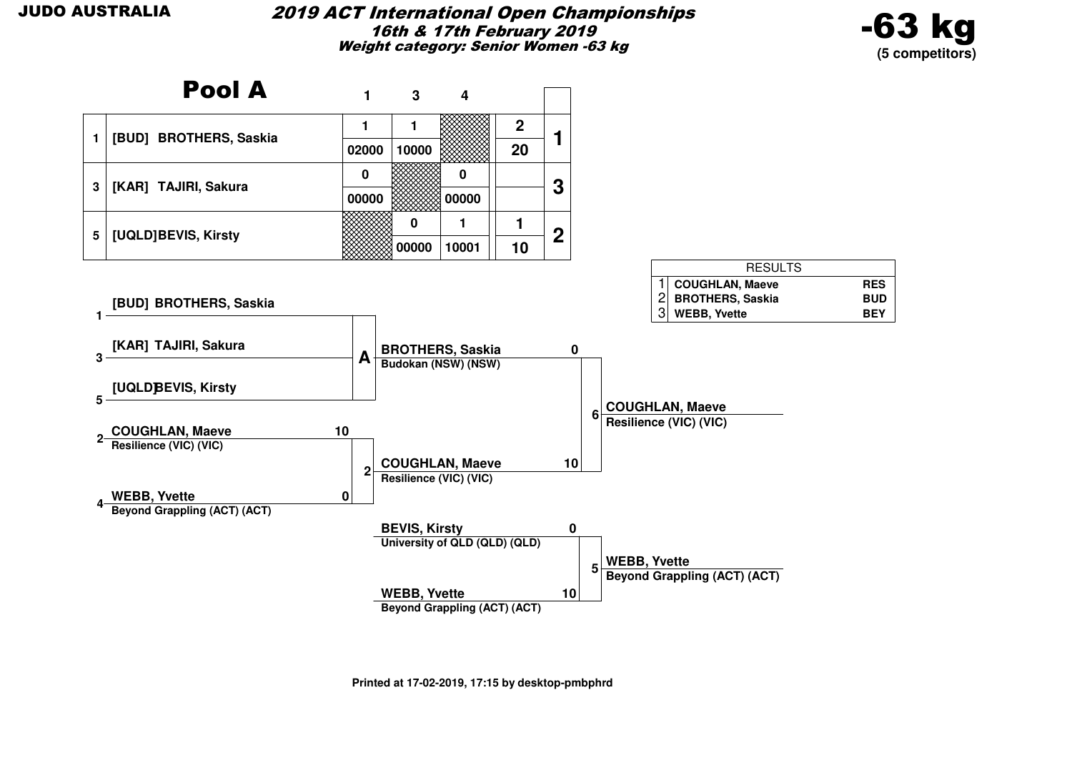#### 2019 ACT International Open Championships16th & 17th February 2019Weight category: Senior Women -63 kg



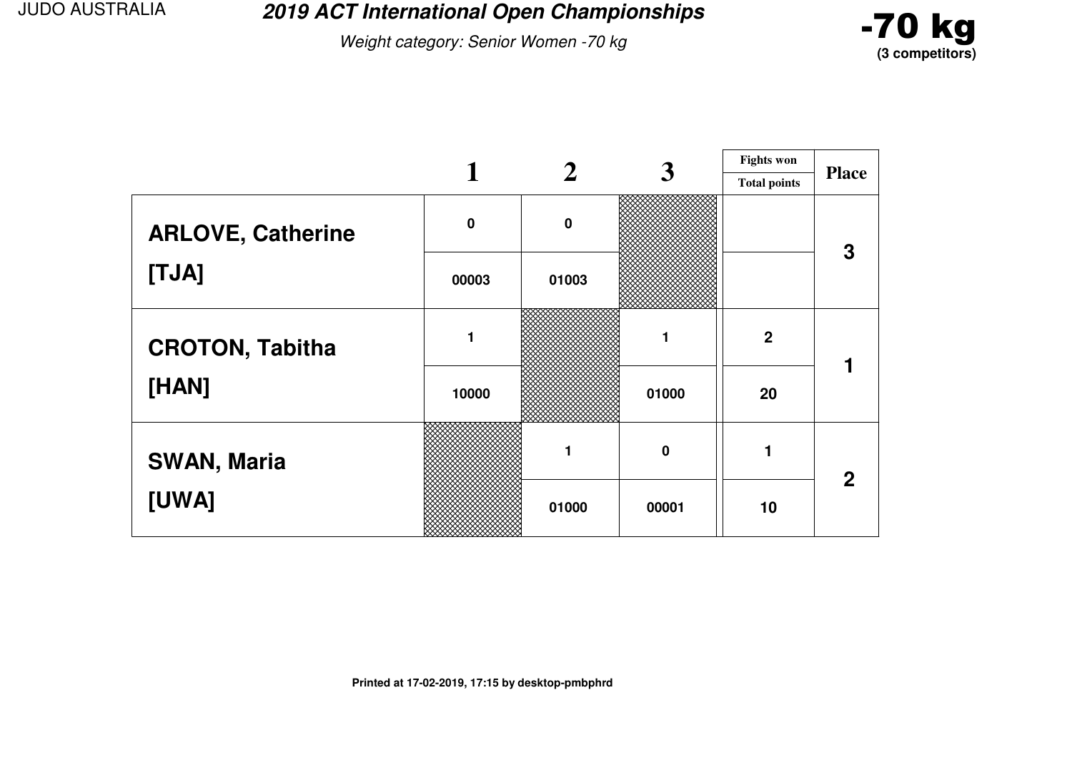**2019 ACT International Open Championships**

Weight category: Senior Women -70 kg



|                          | 3           |          |             | <b>Fights won</b>   |              |
|--------------------------|-------------|----------|-------------|---------------------|--------------|
|                          |             |          |             | <b>Total points</b> | <b>Place</b> |
| <b>ARLOVE, Catherine</b> | $\mathbf 0$ | $\bf{0}$ |             |                     | 3            |
| [TJA]                    | 00003       | 01003    |             |                     |              |
| <b>CROTON, Tabitha</b>   | 1           |          |             | $\mathbf 2$         |              |
| [HAN]                    | 10000       |          | 01000       | 20                  |              |
| <b>SWAN, Maria</b>       |             |          | $\mathbf 0$ |                     | $\mathbf{2}$ |
| [UWA]                    |             | 01000    | 00001       | 10                  |              |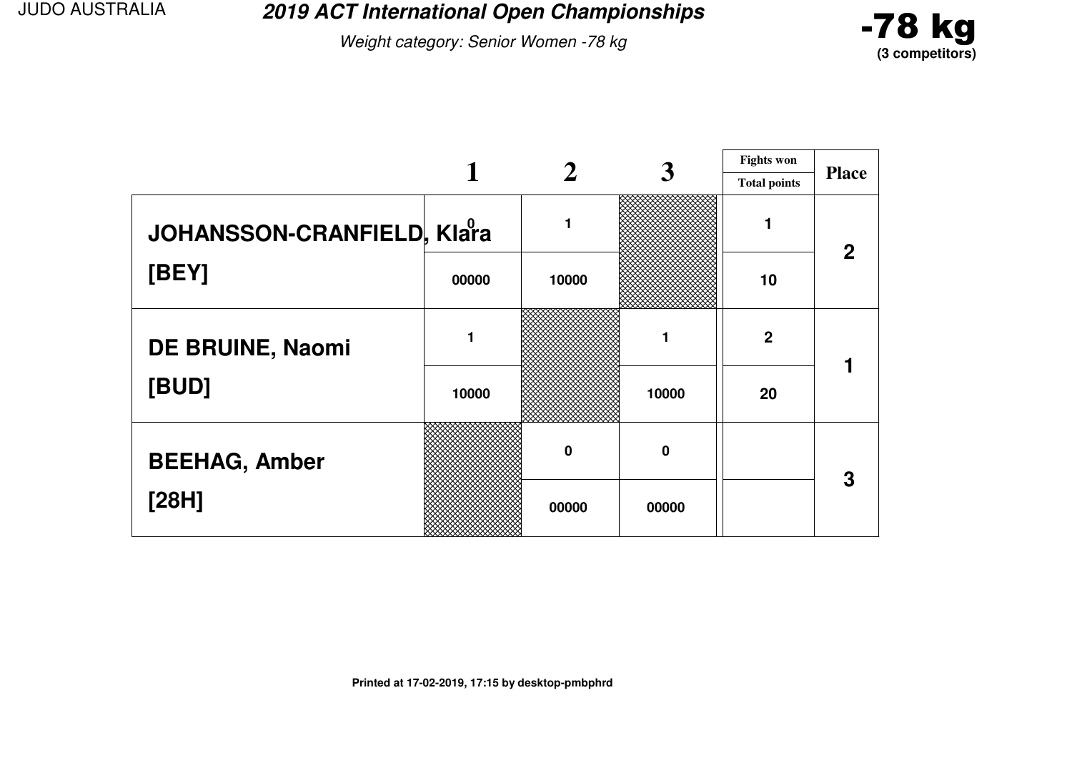**2019 ACT International Open Championships**

Weight category: Senior Women -78 kg



|                            |       |          |       | <b>Fights won</b>   |                |
|----------------------------|-------|----------|-------|---------------------|----------------|
|                            |       |          |       | <b>Total points</b> | <b>Place</b>   |
| JOHANSSON-CRANFIELD, Klara |       | 1        |       |                     | $\overline{2}$ |
| [BEY]                      | 00000 | 10000    |       | 10                  |                |
| DE BRUINE, Naomi           |       |          |       | $\mathbf 2$         |                |
| [BUD]                      | 10000 |          | 10000 | 20                  |                |
| <b>BEEHAG, Amber</b>       |       | $\bf{0}$ | 0     |                     | 3              |
| [28H]                      |       | 00000    | 00000 |                     |                |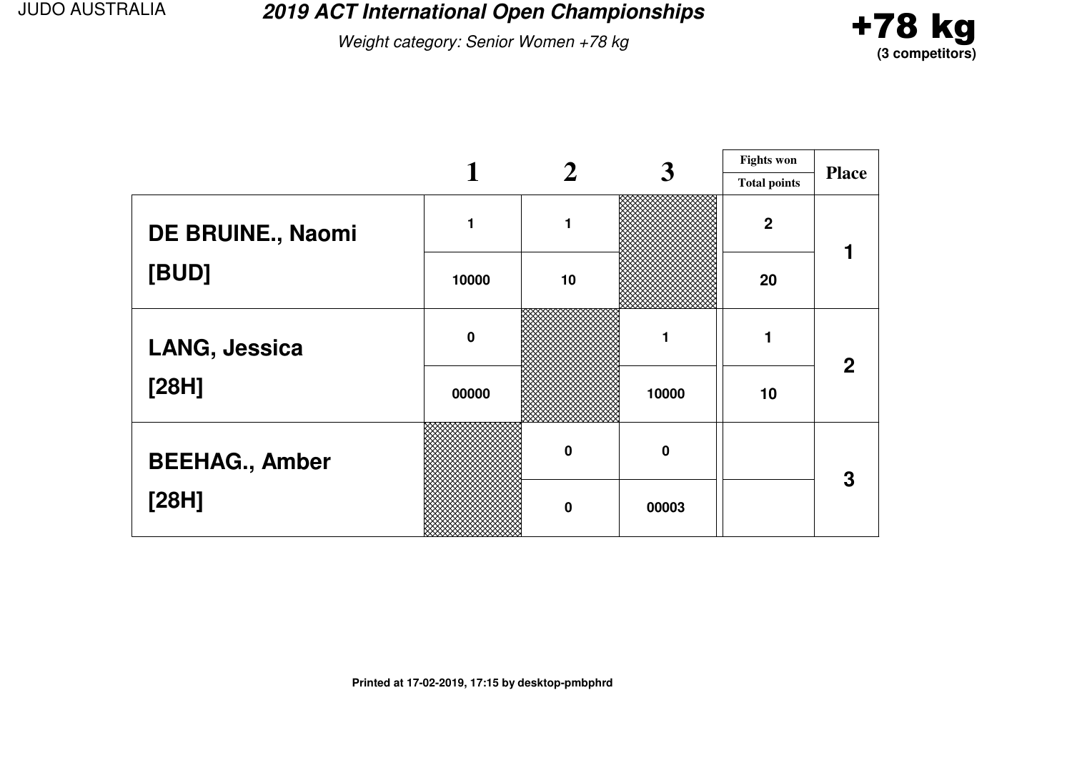**2019 ACT International Open Championships**

Weight category: Senior Women +78 kg



|                       |             |             | 3           | <b>Fights won</b>   |              |
|-----------------------|-------------|-------------|-------------|---------------------|--------------|
|                       |             |             |             | <b>Total points</b> | <b>Place</b> |
| DE BRUINE., Naomi     |             | 1           |             | $\boldsymbol{2}$    |              |
| [BUD]                 | 10000       | 10          |             | 20                  |              |
| LANG, Jessica         | $\mathbf 0$ |             |             |                     | $\mathbf{2}$ |
| [28H]                 | 00000       |             | 10000       | 10                  |              |
| <b>BEEHAG., Amber</b> |             | $\mathbf 0$ | $\mathbf 0$ |                     | 3            |
| [28H]                 |             | $\mathbf 0$ | 00003       |                     |              |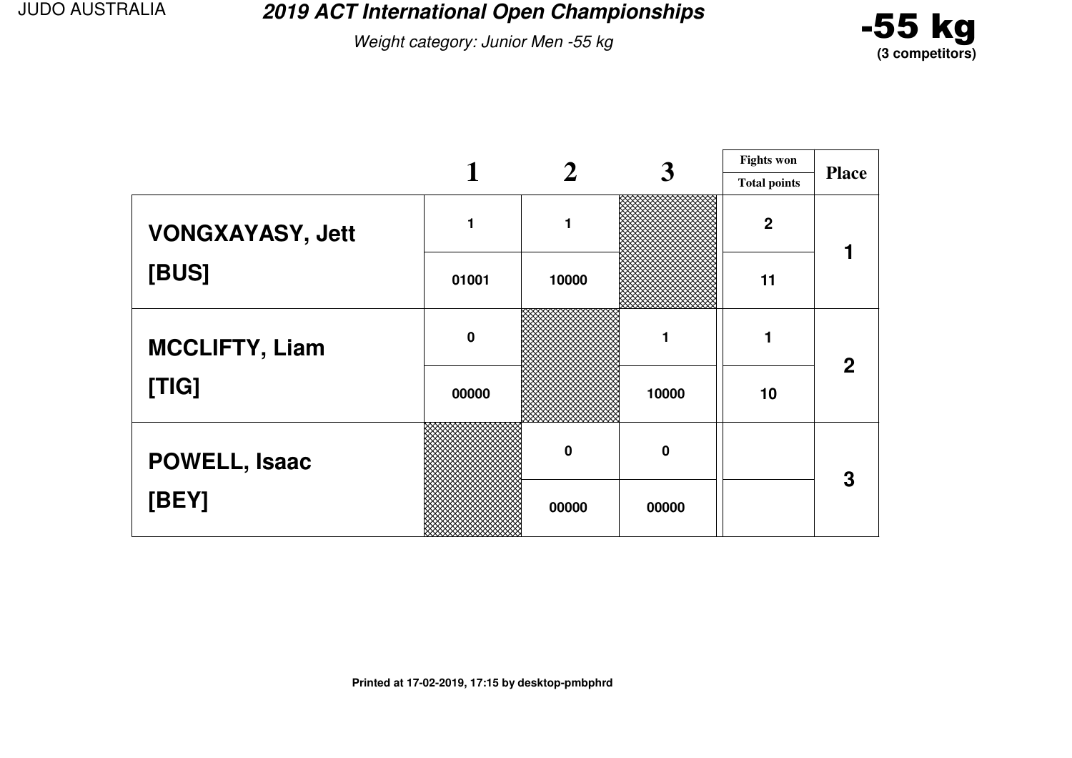**2019 ACT International Open Championships**

Weight category: Junior Men -55 kg



|                         |             |             | 3        | <b>Fights won</b>   |              |
|-------------------------|-------------|-------------|----------|---------------------|--------------|
|                         |             |             |          | <b>Total points</b> | <b>Place</b> |
| <b>VONGXAYASY, Jett</b> |             | 1           |          | $\boldsymbol{2}$    |              |
| [BUS]                   | 01001       | 10000       |          | 11                  |              |
| <b>MCCLIFTY, Liam</b>   | $\mathbf 0$ |             |          |                     | $\mathbf{2}$ |
| [TIG]                   | 00000       |             | 10000    | 10                  |              |
| POWELL, Isaac           |             | $\mathbf 0$ | $\bf{0}$ |                     | 3            |
| [BEY]                   |             | 00000       | 00000    |                     |              |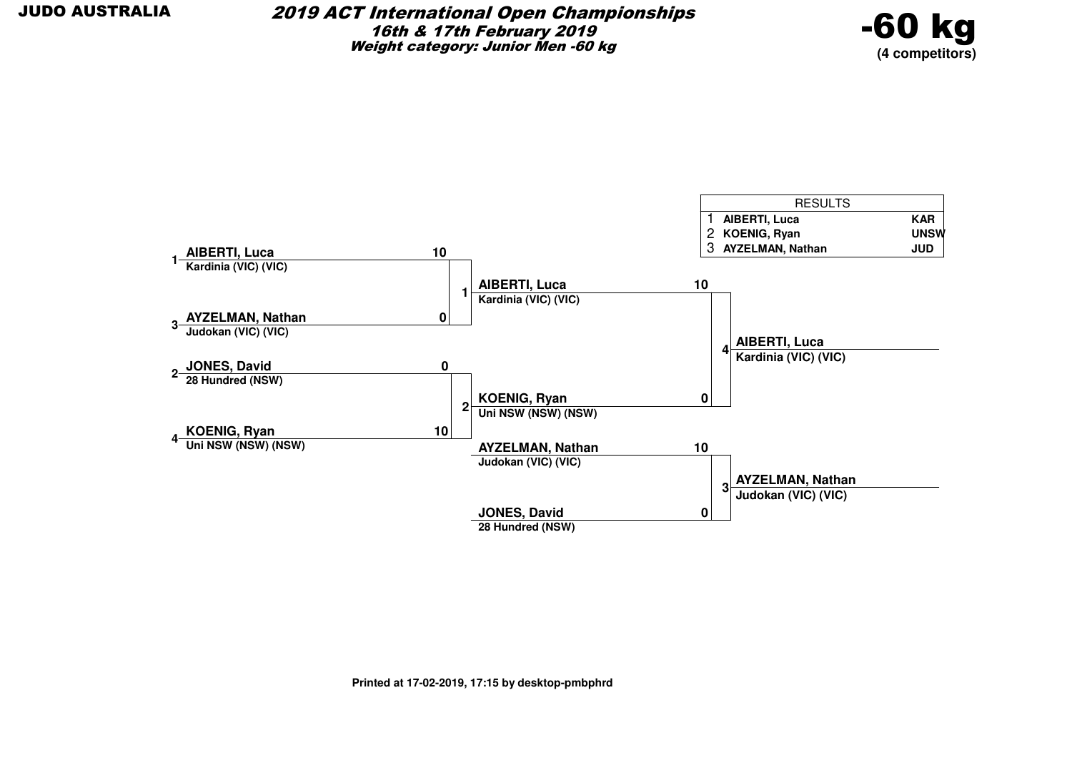

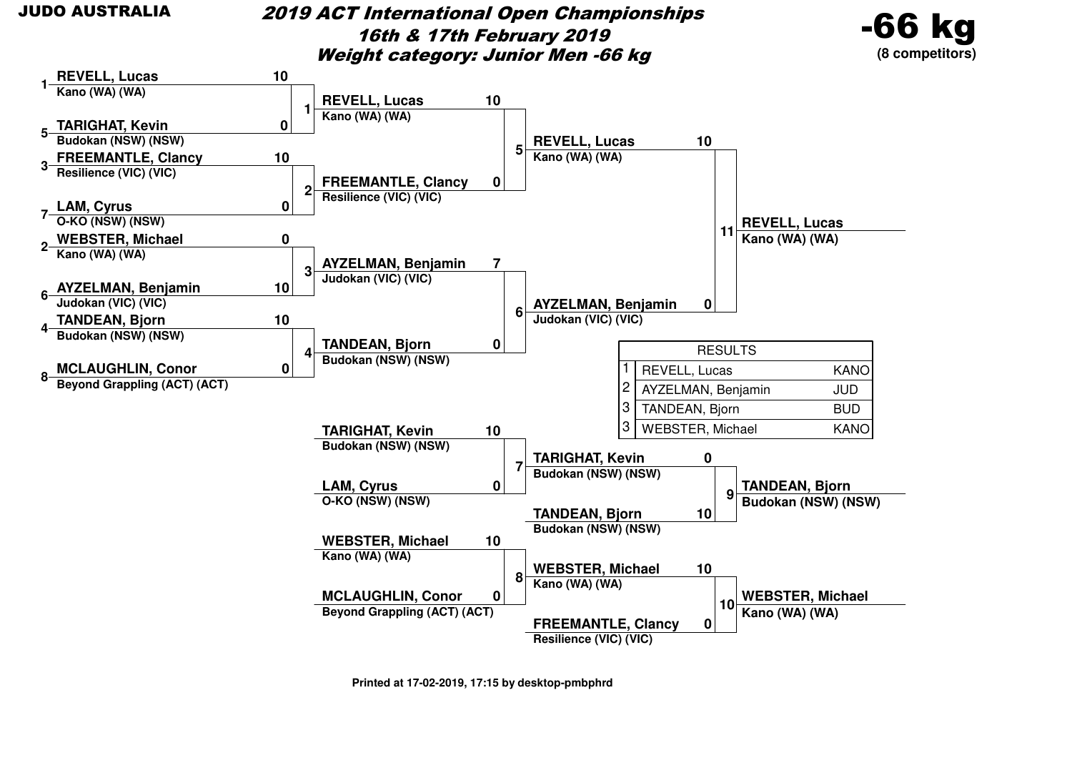### 2019 ACT International Open Championships16th & 17th February 2019Weight category: Junior Men -66 kg





**Printed at 17-02-2019, 17:15 by desktop-pmbphrd**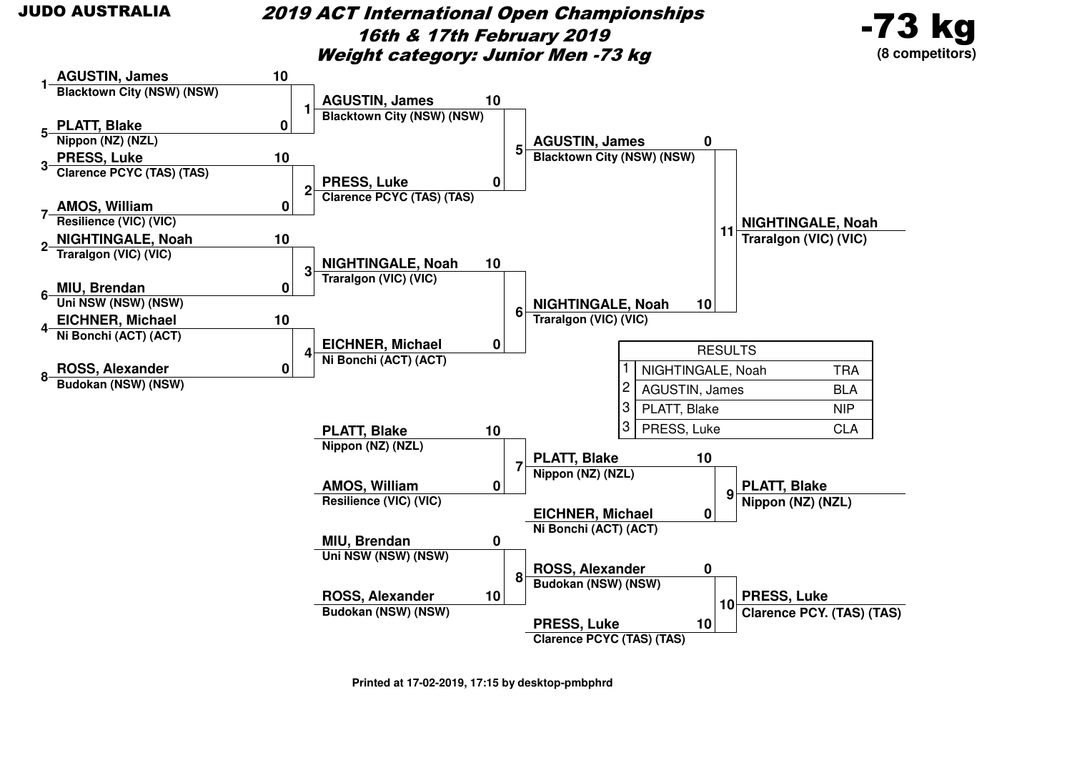2019 ACT International Open Championships16th & 17th February 2019Weight category: Junior Men -73 kg



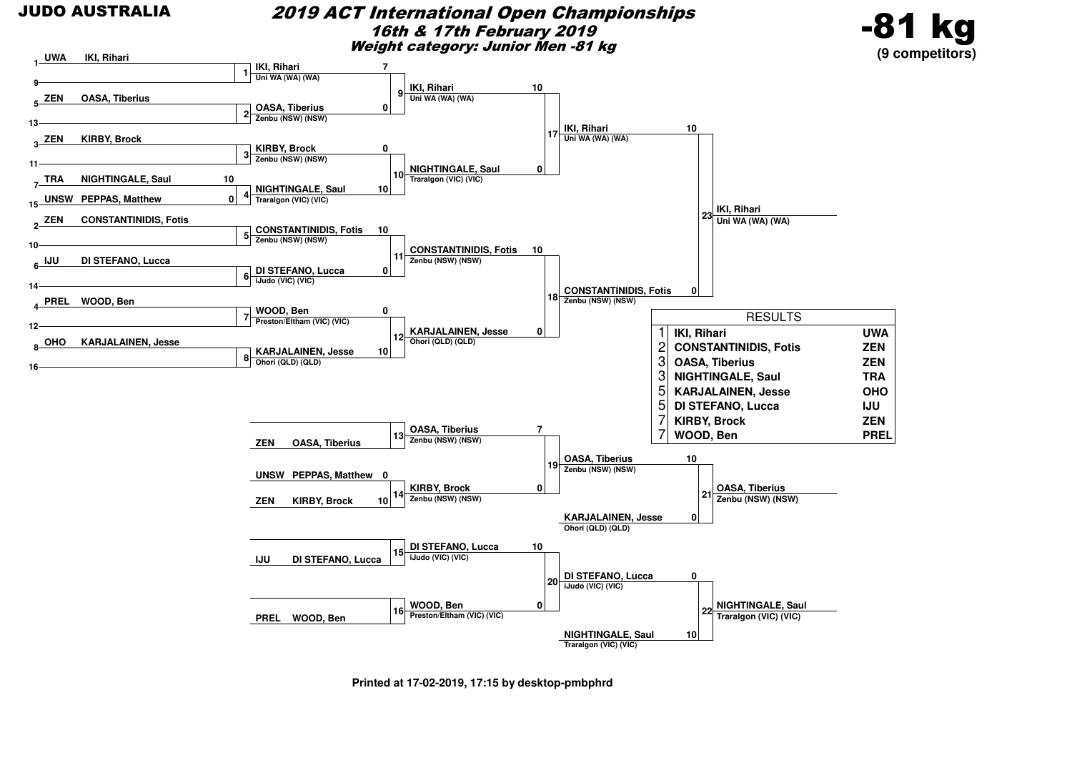#### 2019 ACT International Open Championships16th & 17th February 2019Weight category: Junior Men -81 kg





**Printed at 17-02-2019, 17:15 by desktop-pmbphrd**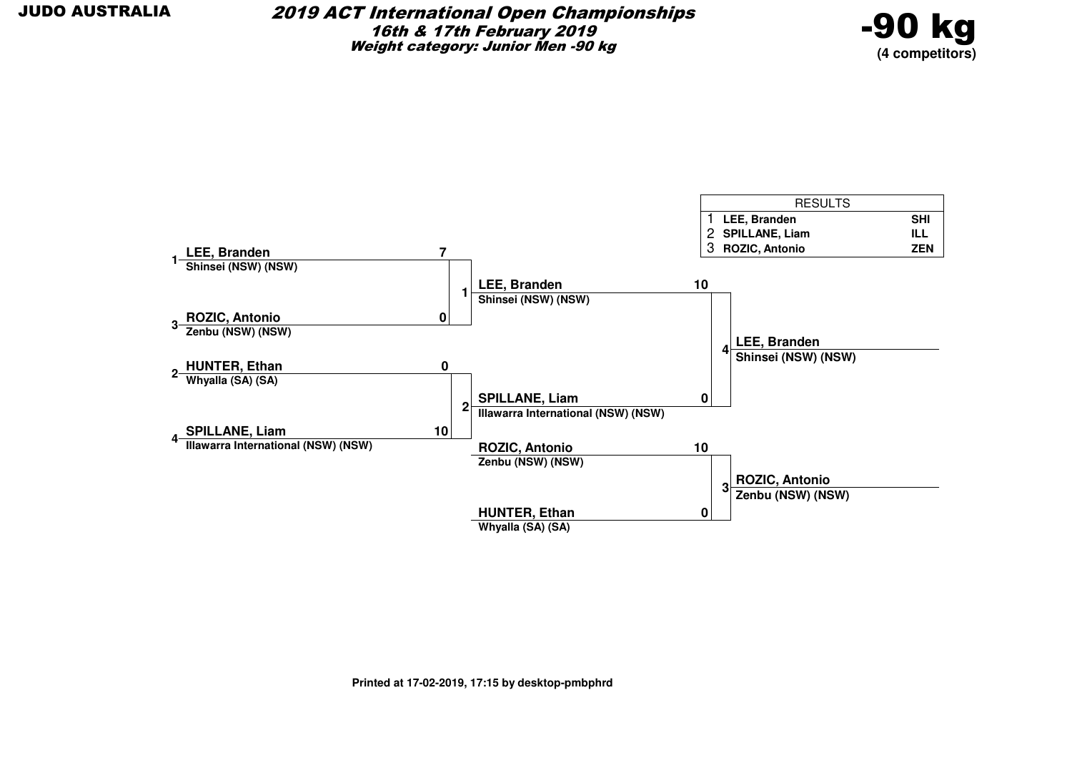

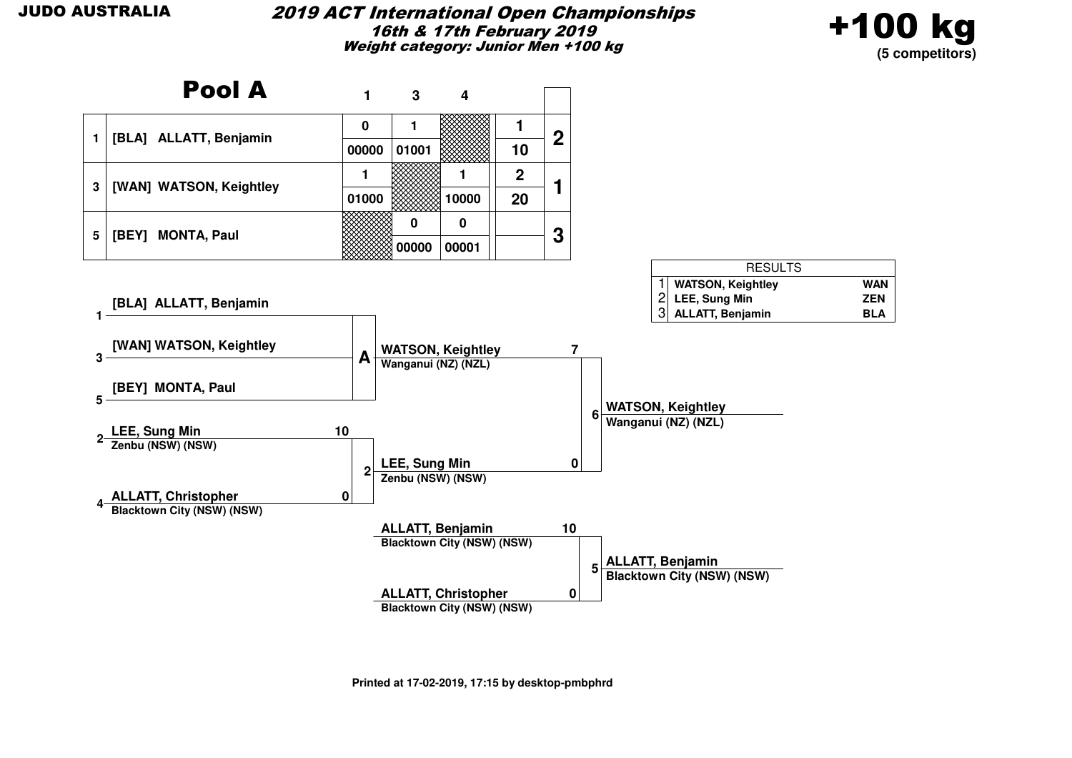#### 2019 ACT International Open Championships16th & 17th February 2019Weight category: Junior Men +100 kg



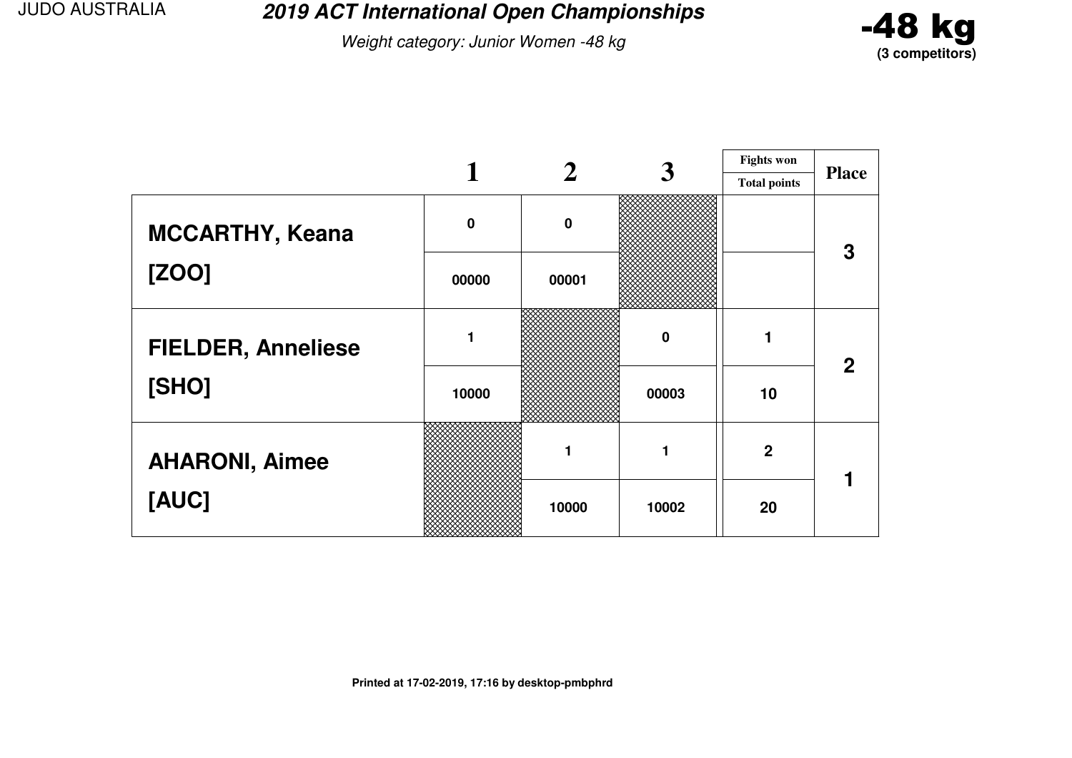**2019 ACT International Open Championships**

Weight category: Junior Women -48 kg



|                           |             |             | 3        | <b>Fights won</b>   |              |
|---------------------------|-------------|-------------|----------|---------------------|--------------|
|                           |             |             |          | <b>Total points</b> | <b>Place</b> |
| <b>MCCARTHY, Keana</b>    | $\mathbf 0$ | $\mathbf 0$ |          |                     | 3            |
| [ZOO]                     | 00000       | 00001       |          |                     |              |
| <b>FIELDER, Anneliese</b> |             |             | $\bf{0}$ |                     | $\mathbf{2}$ |
| [SHO]                     | 10000       |             | 00003    | 10                  |              |
| <b>AHARONI, Aimee</b>     |             |             | 1        | $\overline{2}$      |              |
| [AUC]                     |             | 10000       | 10002    | 20                  |              |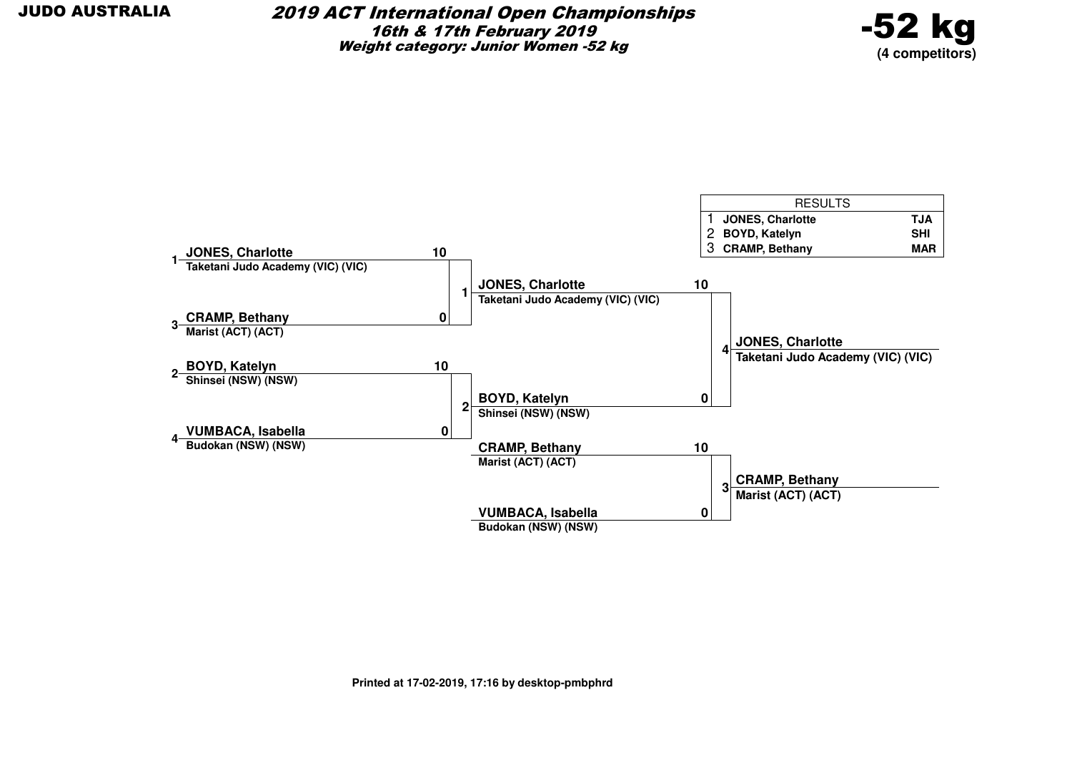

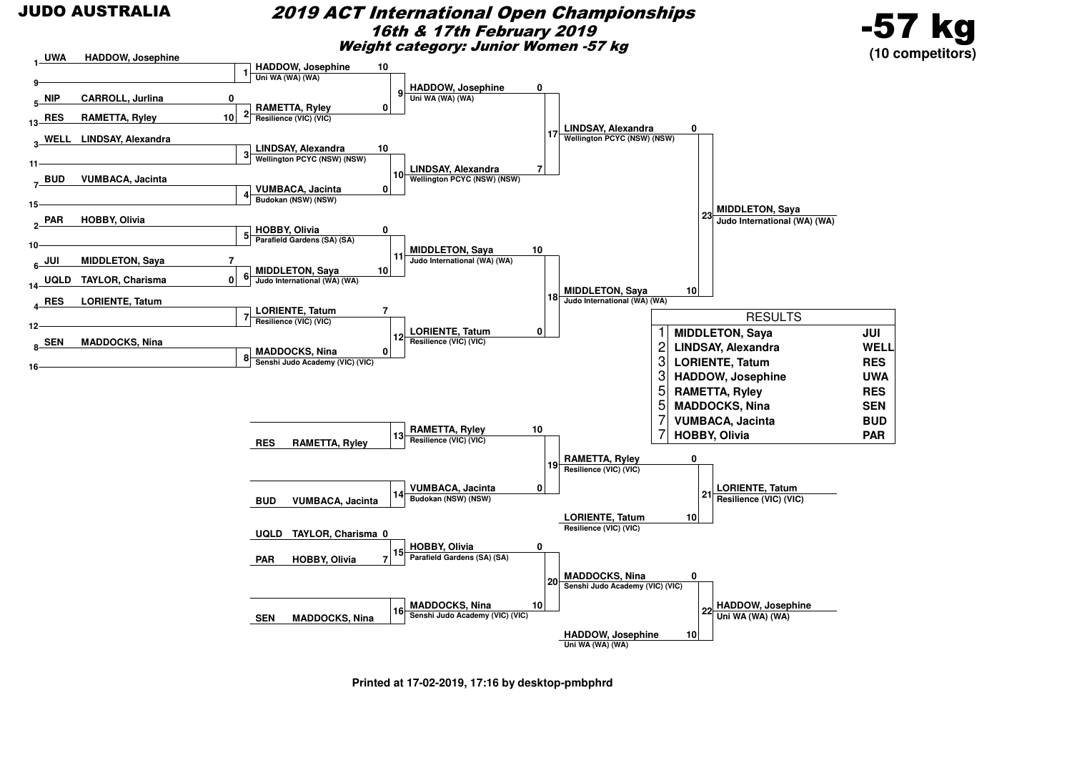#### 2019 ACT International Open Championships16th & 17th February 2019Weight category: Junior Women -57 kg



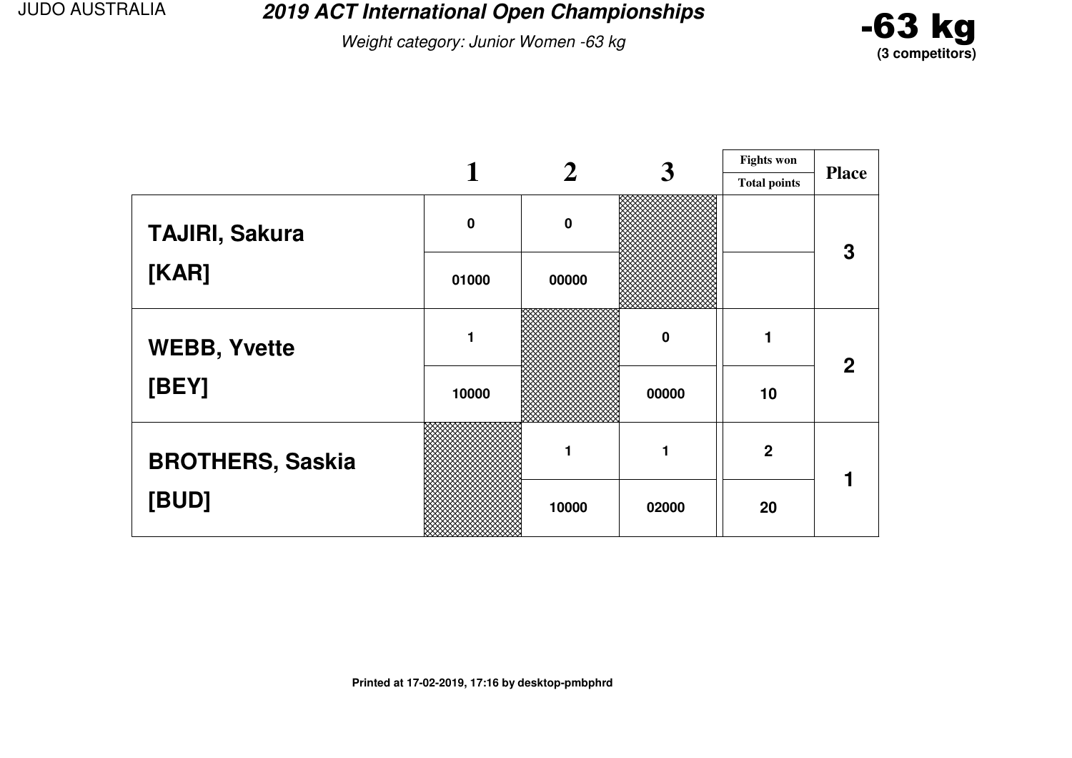**2019 ACT International Open Championships**

Weight category: Junior Women -63 kg



|                         |             |           | 3        | <b>Fights won</b>   |              |
|-------------------------|-------------|-----------|----------|---------------------|--------------|
|                         |             |           |          | <b>Total points</b> | <b>Place</b> |
| <b>TAJIRI, Sakura</b>   | $\mathbf 0$ | $\pmb{0}$ |          |                     | 3            |
| [KAR]                   | 01000       | 00000     |          |                     |              |
| <b>WEBB, Yvette</b>     | 1           |           | $\bf{0}$ |                     | $\mathbf{2}$ |
| [BEY]                   | 10000       |           | 00000    | 10                  |              |
| <b>BROTHERS, Saskia</b> |             |           |          | $\overline{2}$      |              |
| [BUD]                   |             | 10000     | 02000    | 20                  |              |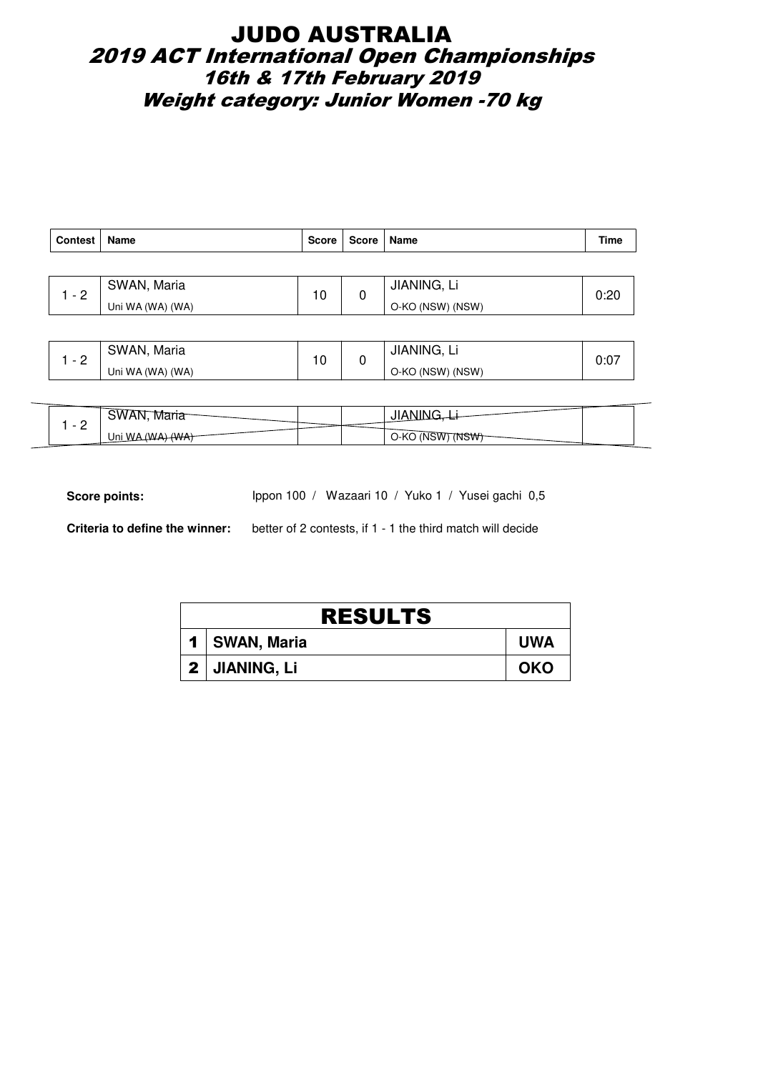## JUDO AUSTRALIA 2019 ACT International Open Championships 16th & 17th February 2019 Weight category: Junior Women -70 kg

| <b>Contest</b> | Name             | <b>Score</b> | Score   Name |                  | <b>Time</b> |
|----------------|------------------|--------------|--------------|------------------|-------------|
|                |                  |              |              |                  |             |
| $-2$           | SWAN, Maria      | 10           | 0            | JIANING, Li      | 0:20        |
|                | Uni WA (WA) (WA) |              |              | O-KO (NSW) (NSW) |             |
|                |                  |              |              |                  |             |

| ∽ | SWAN, Maria      | 10 | <b>JIANING.</b>  | 0:07 |
|---|------------------|----|------------------|------|
| - | Uni WA (WA) (WA) |    | O-KO (NSW) (NSW) |      |

| -<br>$\overline{\phantom{0}}$ | wari <sub>o</sub><br>50VAR | υıσ                |  |
|-------------------------------|----------------------------|--------------------|--|
| <u>_</u>                      | $\Delta$<br>Uni W          | O-KO<br>INSW<br>'N |  |

Score points: Ippon 100 / Wazaari 10 / Yuko 1 / Yusei gachi 0,5

**Criteria to define the winner:** better of 2 contests, if 1 - 1 the third match will decide

| <b>RESULTS</b>  |            |  |  |  |  |  |
|-----------------|------------|--|--|--|--|--|
| 1   SWAN, Maria | <b>UWA</b> |  |  |  |  |  |
| 2 JIANING, Li   | <b>OKO</b> |  |  |  |  |  |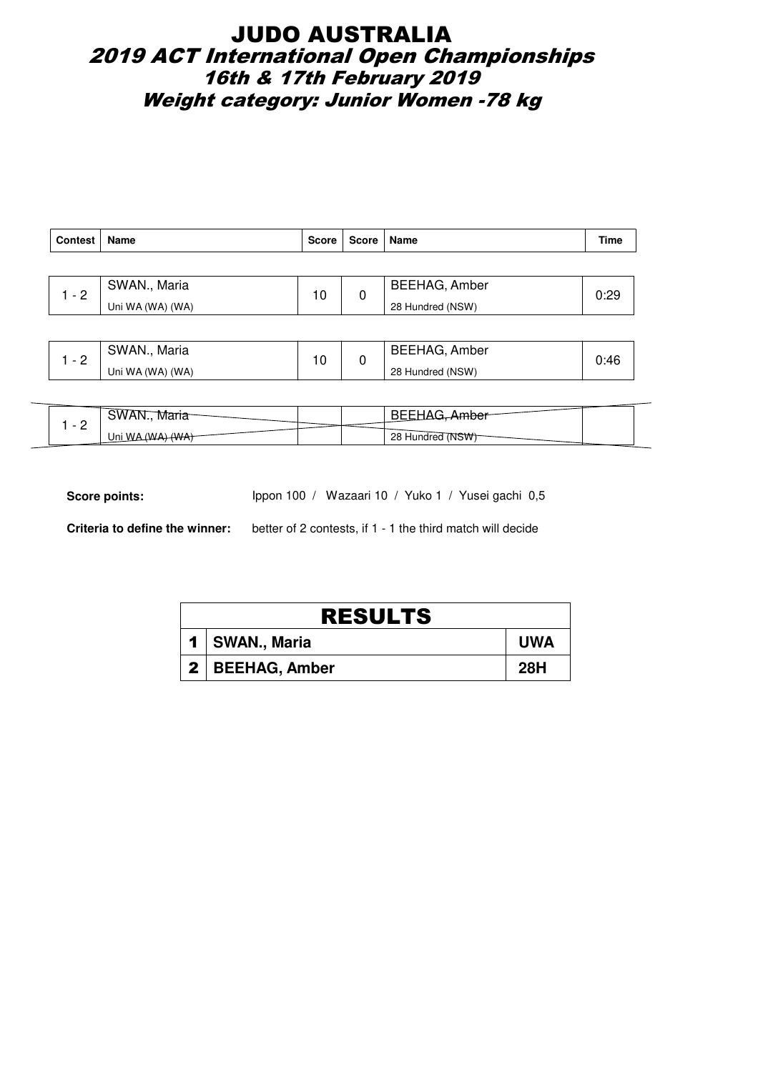## JUDO AUSTRALIA 2019 ACT International Open Championships 16th & 17th February 2019 Weight category: Junior Women -78 kg

| <b>Contest</b> | Name             | <b>Score</b> | Score | ∣ Name               | <b>Time</b> |
|----------------|------------------|--------------|-------|----------------------|-------------|
|                |                  |              |       |                      |             |
| $-2$           | SWAN., Maria     | 10           |       | <b>BEEHAG, Amber</b> | 0:29        |
|                | Uni WA (WA) (WA) |              |       | 28 Hundred (NSW)     |             |

| ⌒ | SWAN.,<br>Maria  | 10 | BEEHAG, Amber    | 0:46 |
|---|------------------|----|------------------|------|
| - | Uni WA (WA) (WA) |    | 28 Hundred (NSW) |      |

| -<br>$\overline{\phantom{a}}$ | -WV A<br>iviaria<br>.            |  | æ                   |  |
|-------------------------------|----------------------------------|--|---------------------|--|
| <u>_</u>                      | $\Delta$<br>$\Lambda M$<br>Jni W |  | 28 Hundred<br>.7NSW |  |

Score points: Ippon 100 / Wazaari 10 / Yuko 1 / Yusei gachi 0,5

**Criteria to define the winner:** better of 2 contests, if 1 - 1 the third match will decide

| <b>RESULTS</b> |                   |            |  |  |  |
|----------------|-------------------|------------|--|--|--|
|                | 1   SWAN., Maria  | <b>UWA</b> |  |  |  |
|                | 2   BEEHAG, Amber | 28H        |  |  |  |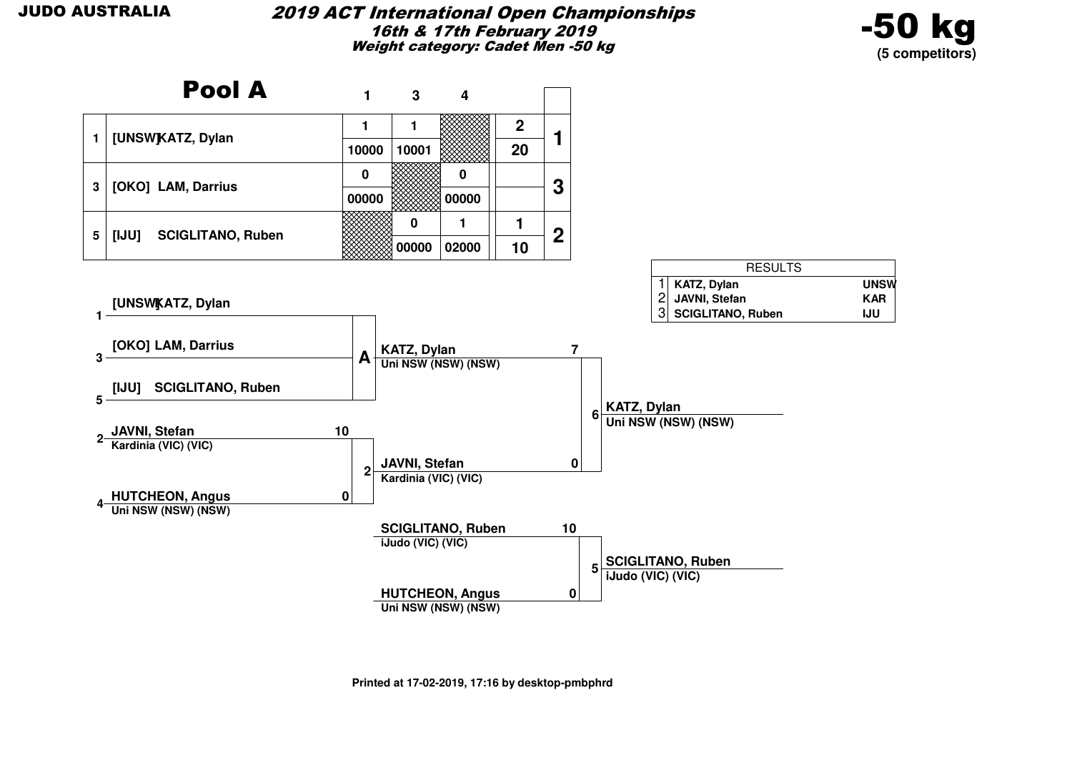

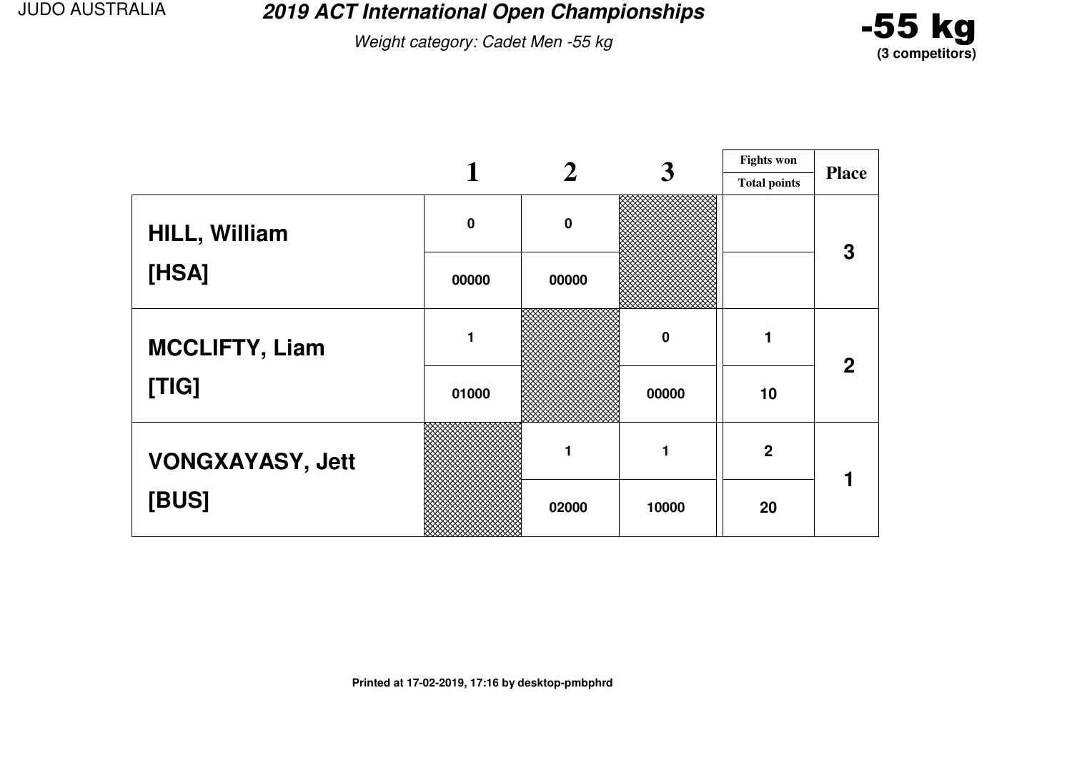**2019 ACT International Open Championships**

Weight category: Cadet Men -55 kg



|                         |             |          | 3     | <b>Fights won</b>   |              |
|-------------------------|-------------|----------|-------|---------------------|--------------|
|                         |             |          |       | <b>Total points</b> | <b>Place</b> |
| <b>HILL, William</b>    | $\mathbf 0$ | $\bf{0}$ |       |                     | 3            |
| [HSA]                   | 00000       | 00000    |       |                     |              |
| <b>MCCLIFTY, Liam</b>   |             |          | 0     |                     | $\mathbf{2}$ |
| [TIG]                   | 01000       |          | 00000 | 10                  |              |
| <b>VONGXAYASY, Jett</b> |             |          |       | $\overline{2}$      |              |
| [BUS]                   |             | 02000    | 10000 | 20                  |              |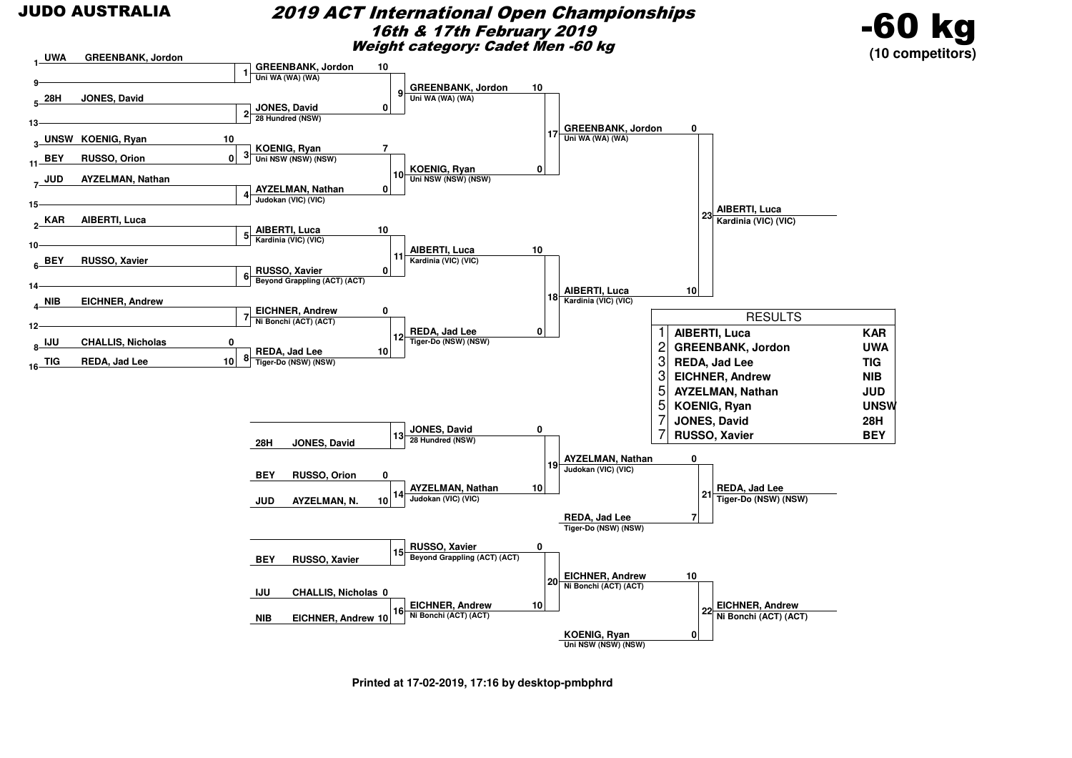#### 2019 ACT International Open Championships16th & 17th February 2019Weight category: Cadet Men -60 kg





**Printed at 17-02-2019, 17:16 by desktop-pmbphrd**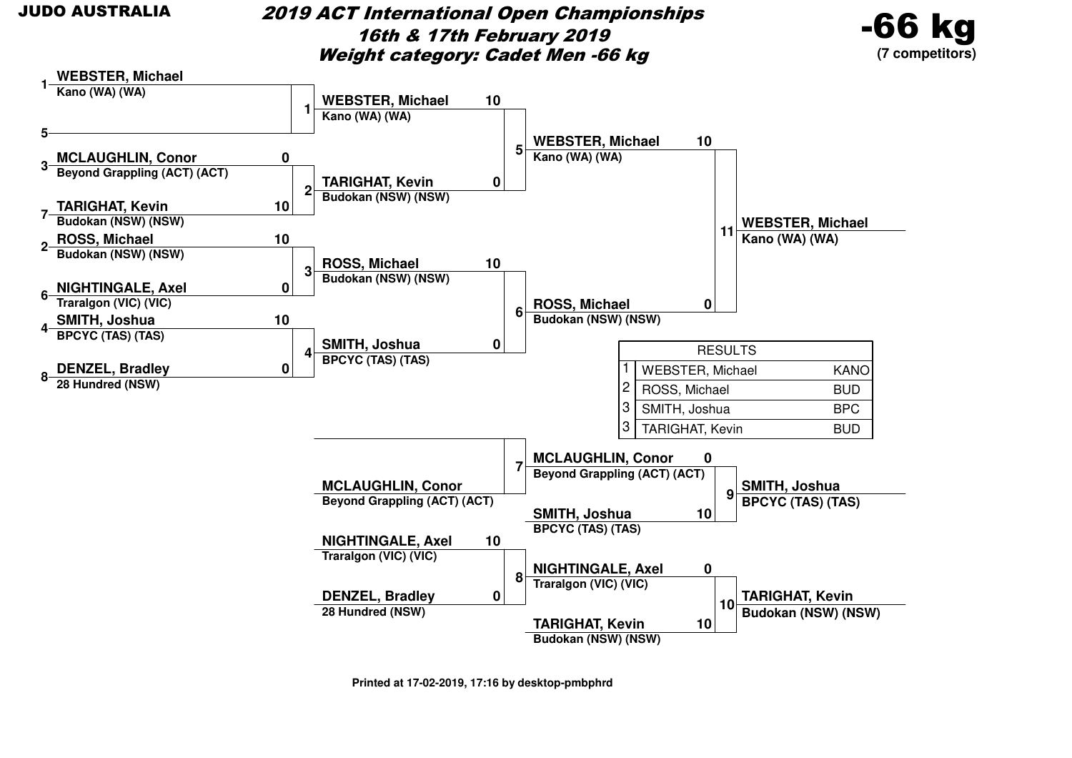2019 ACT International Open Championships16th & 17th February 2019Weight category: Cadet Men -66 kg



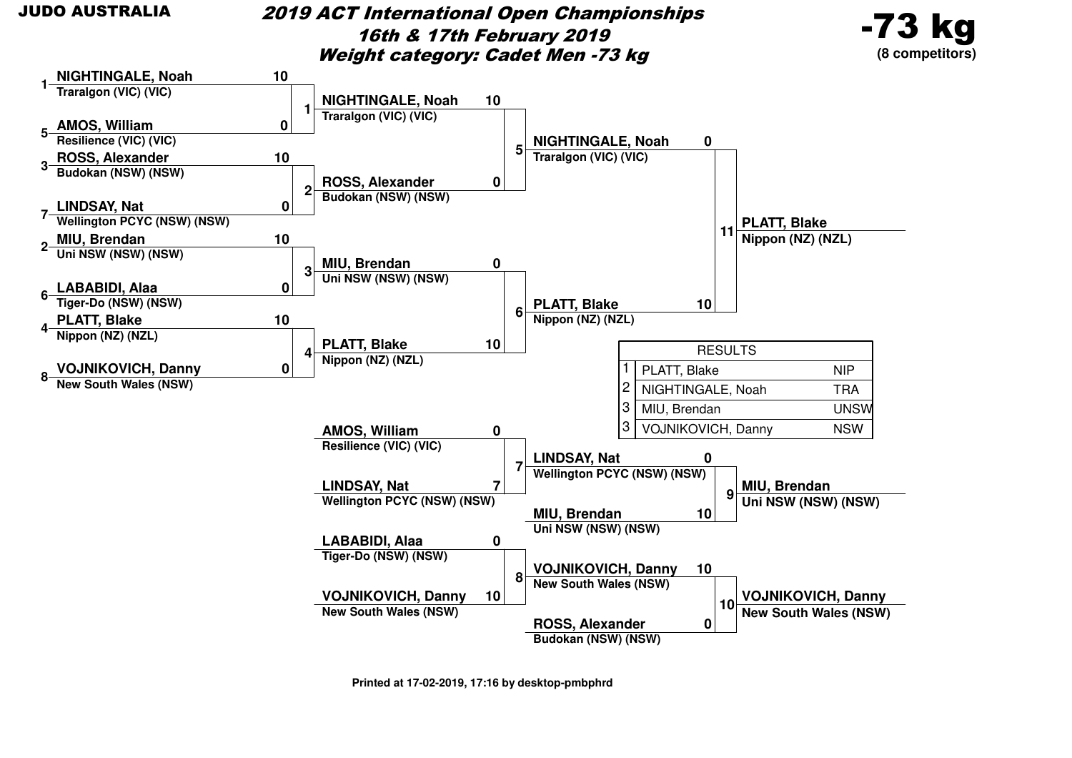2019 ACT International Open Championships16th & 17th February 2019Weight category: Cadet Men -73 kg





**Printed at 17-02-2019, 17:16 by desktop-pmbphrd**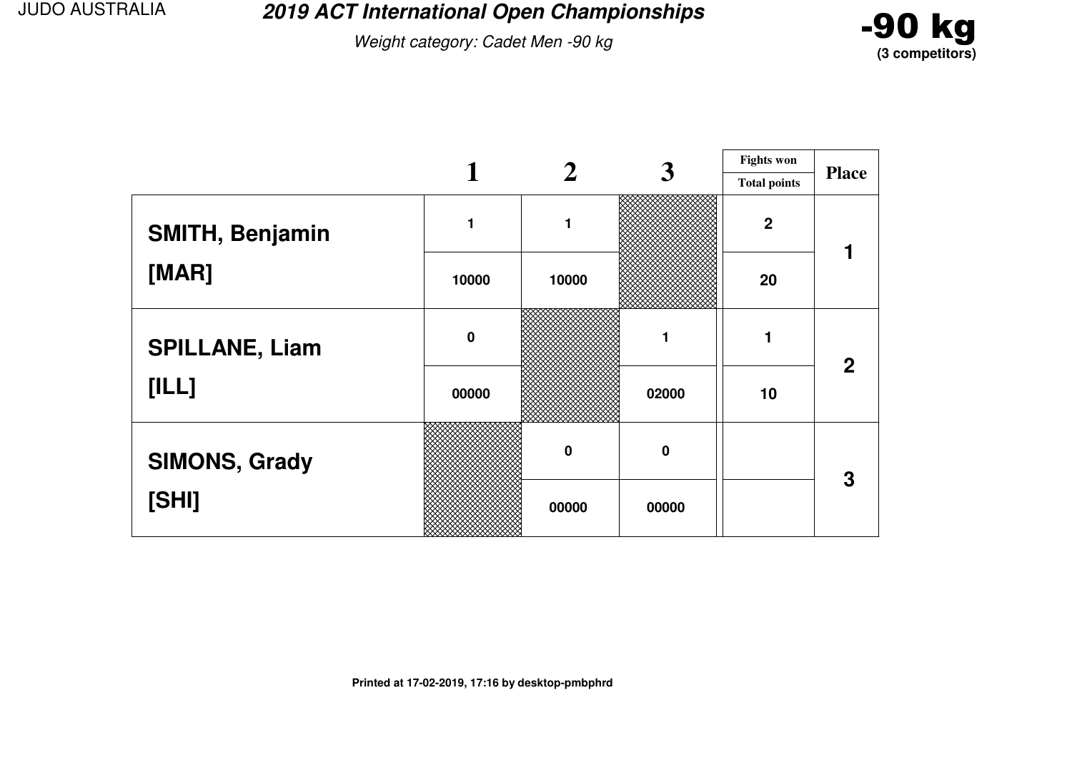**2019 ACT International Open Championships**

Weight category: Cadet Men -90 kg



|                       |           |          | 3           | <b>Fights won</b>   |                |
|-----------------------|-----------|----------|-------------|---------------------|----------------|
|                       |           |          |             | <b>Total points</b> | <b>Place</b>   |
| SMITH, Benjamin       | 1         | 1        |             | $\overline{2}$      |                |
| [MAR]                 | 10000     | 10000    |             | 20                  |                |
| <b>SPILLANE, Liam</b> | $\pmb{0}$ |          | 1           |                     | $\overline{2}$ |
| [ILL]                 | 00000     |          | 02000       | 10                  |                |
| <b>SIMONS, Grady</b>  |           | $\bf{0}$ | $\mathbf 0$ |                     | 3              |
| [SHI]                 |           | 00000    | 00000       |                     |                |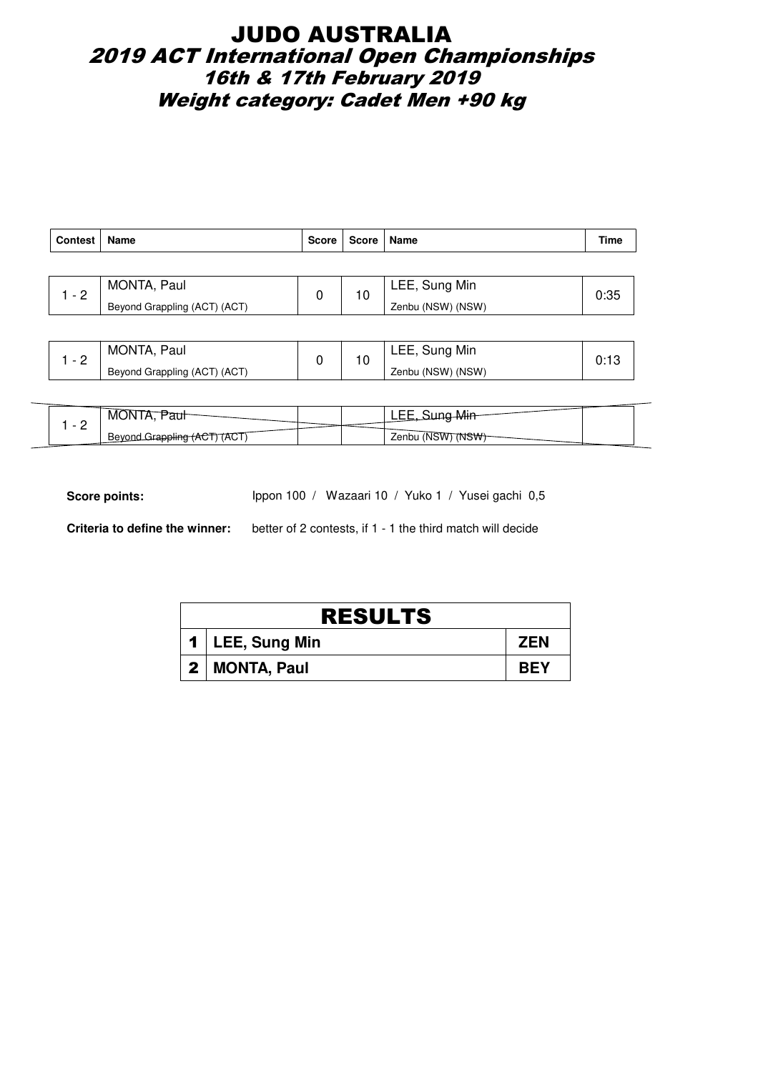## JUDO AUSTRALIA 2019 ACT International Open Championships 16th & 17th February 2019 Weight category: Cadet Men +90 kg

| <b>Contest</b> | Name                         | <b>Score</b> | Score   Name  |                   | Time |
|----------------|------------------------------|--------------|---------------|-------------------|------|
|                |                              |              |               |                   |      |
| $-2$           | MONTA, Paul                  | 10           | LEE, Sung Min | 0:35              |      |
|                | Beyond Grappling (ACT) (ACT) |              |               | Zenbu (NSW) (NSW) |      |

|   | MONTA,<br>Paul               | 1 C | Sung Min<br>LEE,  |  |
|---|------------------------------|-----|-------------------|--|
| - | Beyond Grappling (ACT) (ACT) |     | Zenbu (NSW) (NSW) |  |

| <b>MOL</b><br>ורונ<br>uui |  | . <i>.</i> .<br>                        |  |
|---------------------------|--|-----------------------------------------|--|
| Bevon<br>(AGT)            |  | (NSW<br>Zenbu (NS <sup>v</sup><br>(NSW) |  |

Score points: Ippon 100 / Wazaari 10 / Yuko 1 / Yusei gachi 0,5

**Criteria to define the winner:** better of 2 contests, if 1 - 1 the third match will decide

| <b>RESULTS</b> |                   |            |  |  |  |
|----------------|-------------------|------------|--|--|--|
|                | 1   LEE, Sung Min | <b>ZEN</b> |  |  |  |
|                | 2   MONTA, Paul   | <b>BEY</b> |  |  |  |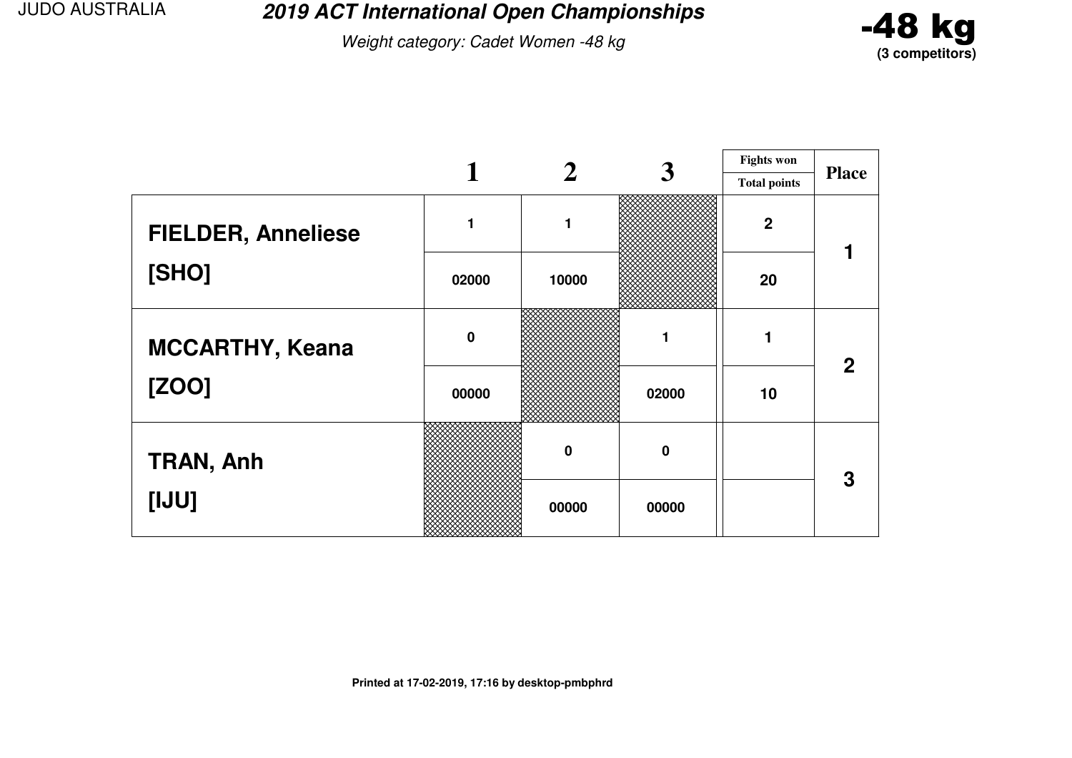**2019 ACT International Open Championships**

Weight category: Cadet Women -48 kg



|                           |           |             | 3           | <b>Fights won</b>   |                |
|---------------------------|-----------|-------------|-------------|---------------------|----------------|
|                           |           |             |             | <b>Total points</b> | <b>Place</b>   |
| <b>FIELDER, Anneliese</b> | 1         |             |             | $\overline{2}$      |                |
| [SHO]                     | 02000     | 10000       |             | 20                  |                |
| <b>MCCARTHY, Keana</b>    | $\pmb{0}$ |             | 1           |                     | $\overline{2}$ |
| [ZOO]                     | 00000     |             | 02000       | 10                  |                |
| <b>TRAN, Anh</b>          |           | $\mathbf 0$ | $\mathbf 0$ |                     | 3              |
| [UU]                      |           | 00000       | 00000       |                     |                |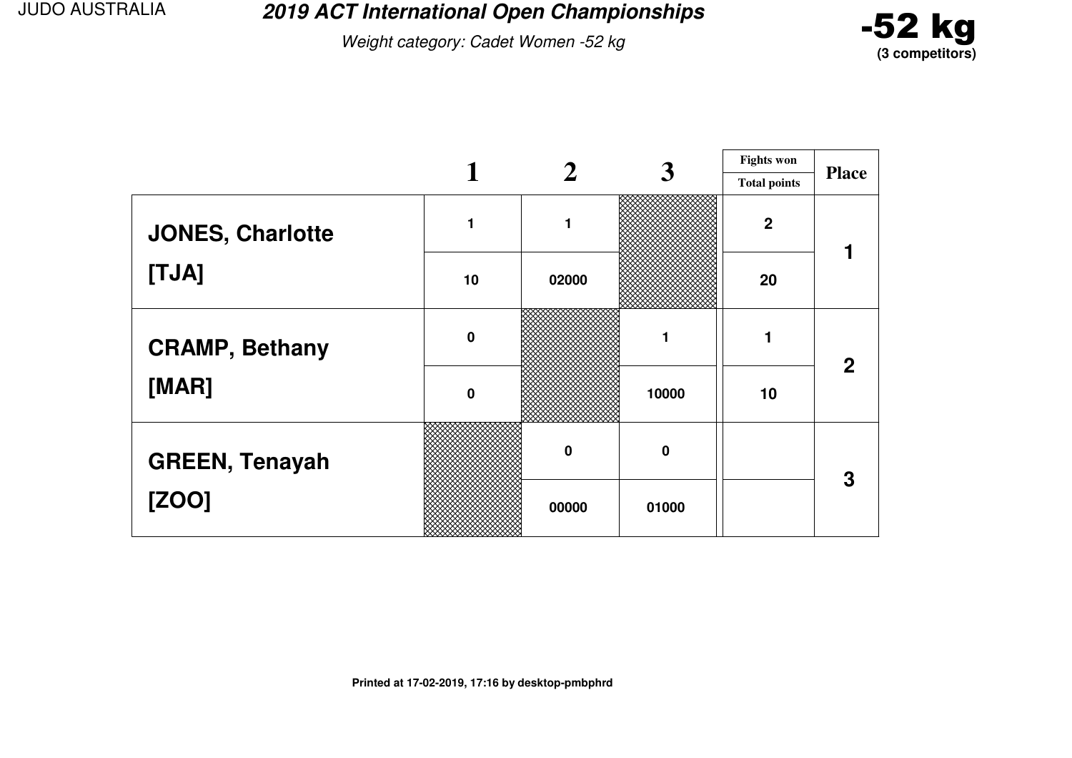**2019 ACT International Open Championships**

Weight category: Cadet Women -52 kg



|                         |             |             | 3        | <b>Fights won</b>   |                |
|-------------------------|-------------|-------------|----------|---------------------|----------------|
|                         |             |             |          | <b>Total points</b> | <b>Place</b>   |
| <b>JONES, Charlotte</b> |             | 1           |          | $\boldsymbol{2}$    |                |
| [TJA]                   | 10          | 02000       |          | 20                  |                |
| <b>CRAMP, Bethany</b>   | $\mathbf 0$ |             |          | 1                   | $\overline{2}$ |
| [MAR]                   | $\mathbf 0$ |             | 10000    | 10                  |                |
| <b>GREEN, Tenayah</b>   |             | $\mathbf 0$ | $\bf{0}$ |                     | 3              |
| [ZOO]                   |             | 00000       | 01000    |                     |                |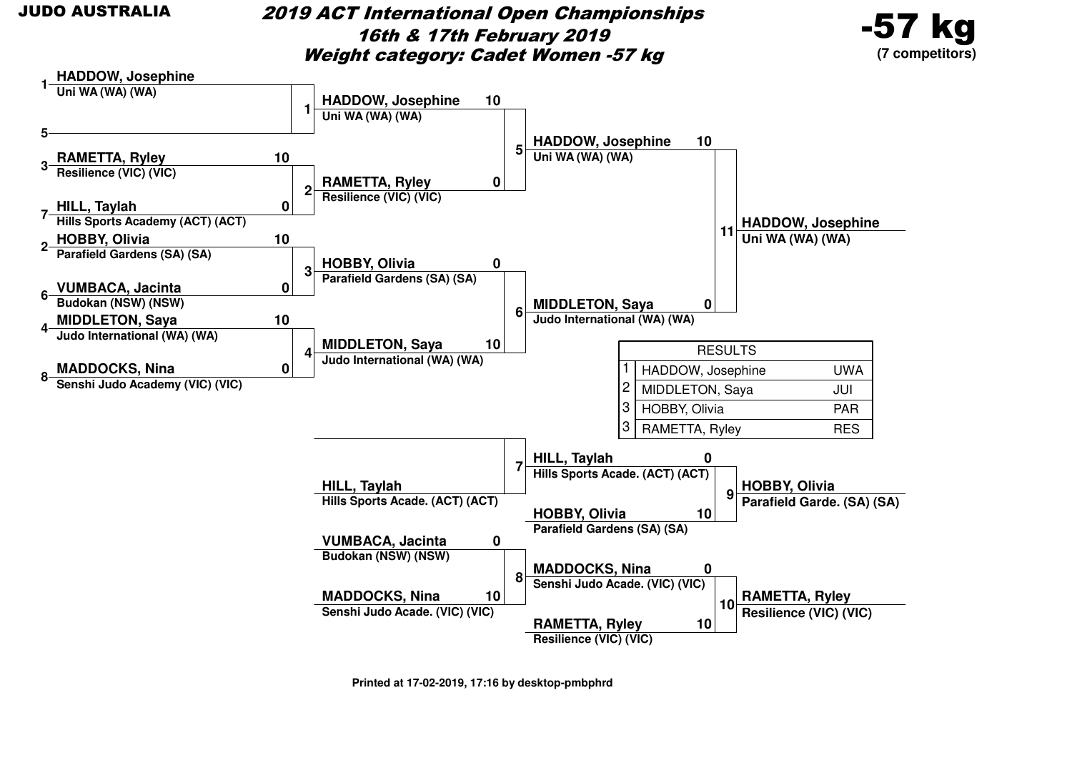2019 ACT International Open Championships16th & 17th February 2019Weight category: Cadet Women -57 kg





**Printed at 17-02-2019, 17:16 by desktop-pmbphrd**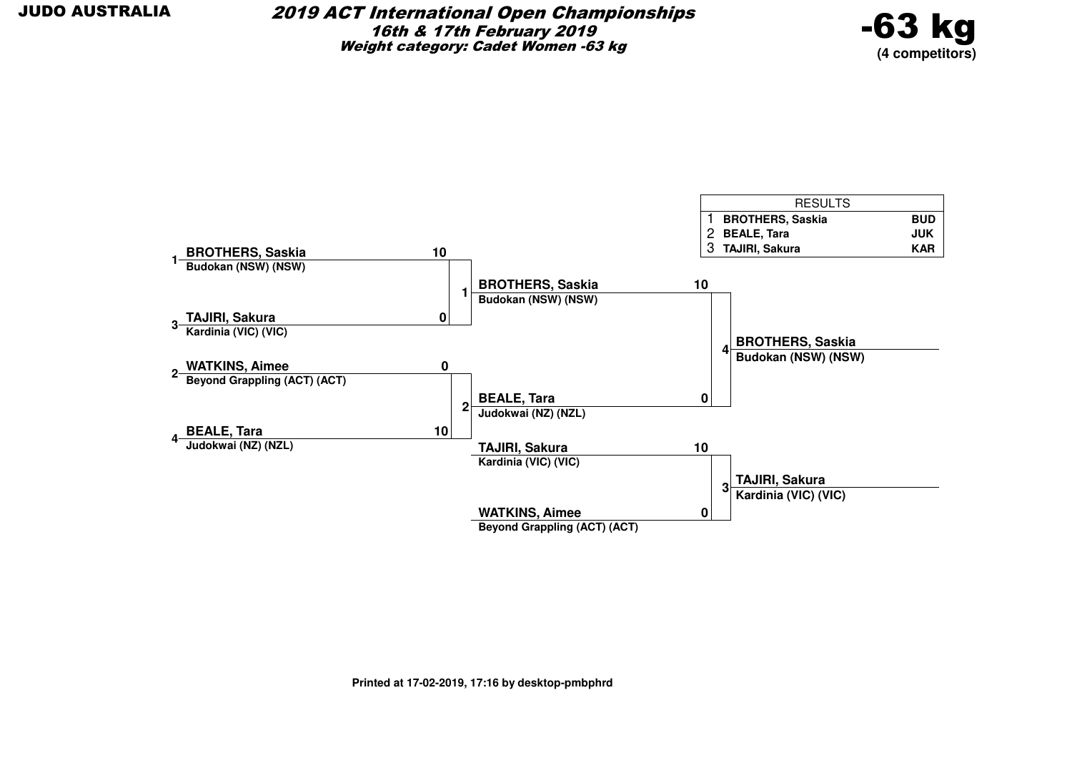

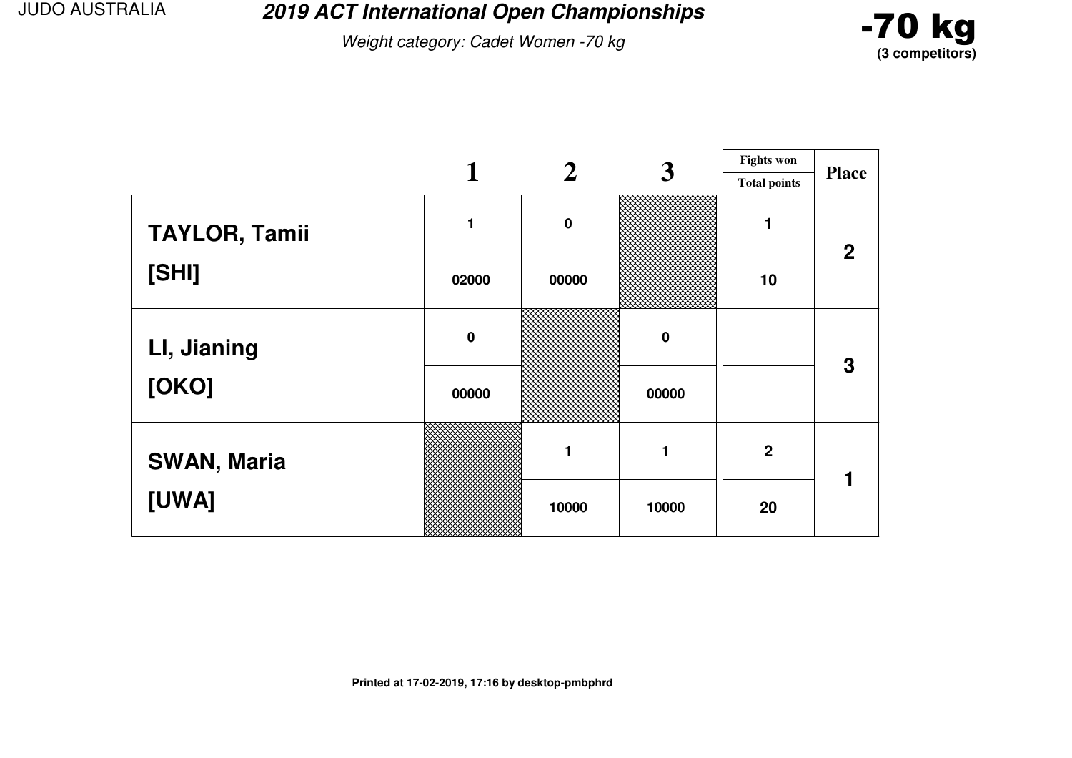**2019 ACT International Open Championships**

Weight category: Cadet Women -70 kg



|                      |             | 2           | 3        | <b>Fights won</b>   |                |
|----------------------|-------------|-------------|----------|---------------------|----------------|
|                      |             |             |          | <b>Total points</b> | <b>Place</b>   |
| <b>TAYLOR, Tamii</b> |             | $\mathbf 0$ |          |                     | $\overline{2}$ |
| [SHI]                | 02000       | 00000       |          | 10                  |                |
| LI, Jianing          | $\mathbf 0$ |             | $\bf{0}$ |                     | 3              |
| [OKO]                | 00000       |             | 00000    |                     |                |
| <b>SWAN, Maria</b>   |             | 1           | 1        | $\boldsymbol{2}$    |                |
| [UWA]                |             | 10000       | 10000    | 20                  |                |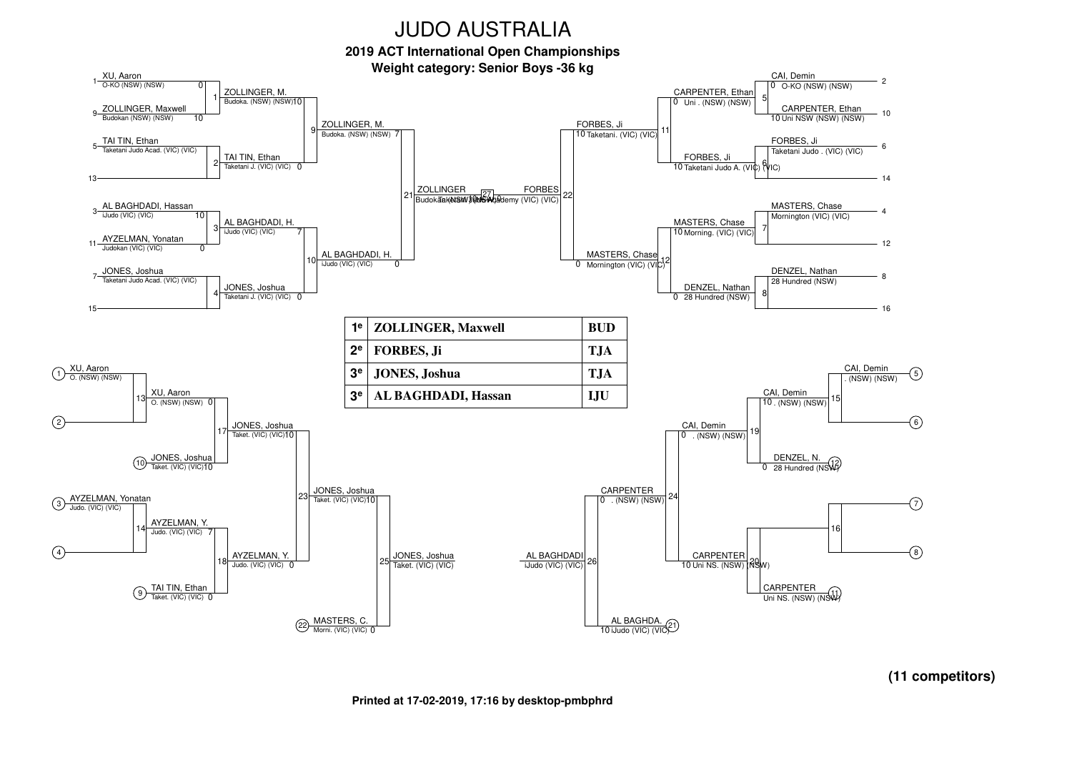**2019 ACT International Open Championships**



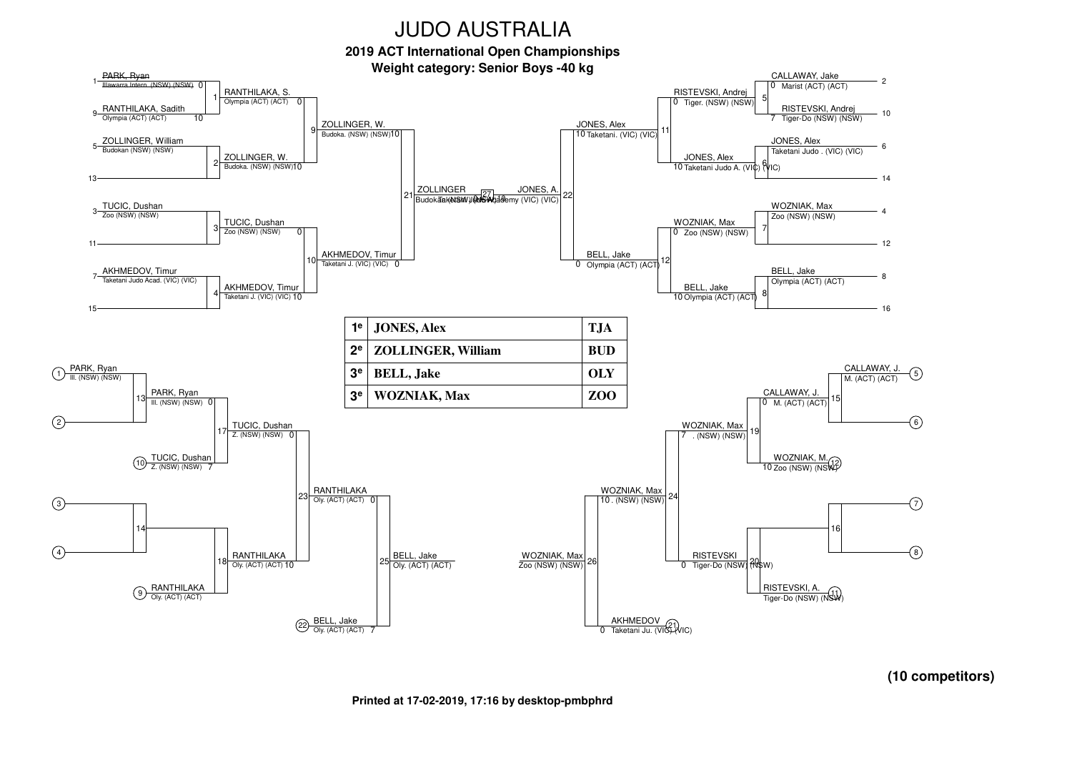

 $\left( 2\right)$ 

 $\binom{3}{}$ 

 $\binom{4}{}$ 

RANTHILAKA**Oly.** (ACT) (ACT)

> BELL, JakeOly. (ACT) (ACT) 7

 $(22)$ 

**Printed at 17-02-2019, 17:16 by desktop-pmbphrd**

Zoo (NSW) (NSW)

AKHMEDOVTaketani Ju. (VIC)<br>0 Taketani Ju. (VIC) (VIC)

Oly. (ACT) (ACT)

 $-2$ 

 $-10$ 

6

 $-14$ 

 $-4$ 

 $-12$ 

8

 $-16$ 

 $\left($ 5)

6

 $\left( 7\right)$ 

 $\circledast$ 

RISTEVSKI, A.<br>Tiger-Do (NSW) (NSW)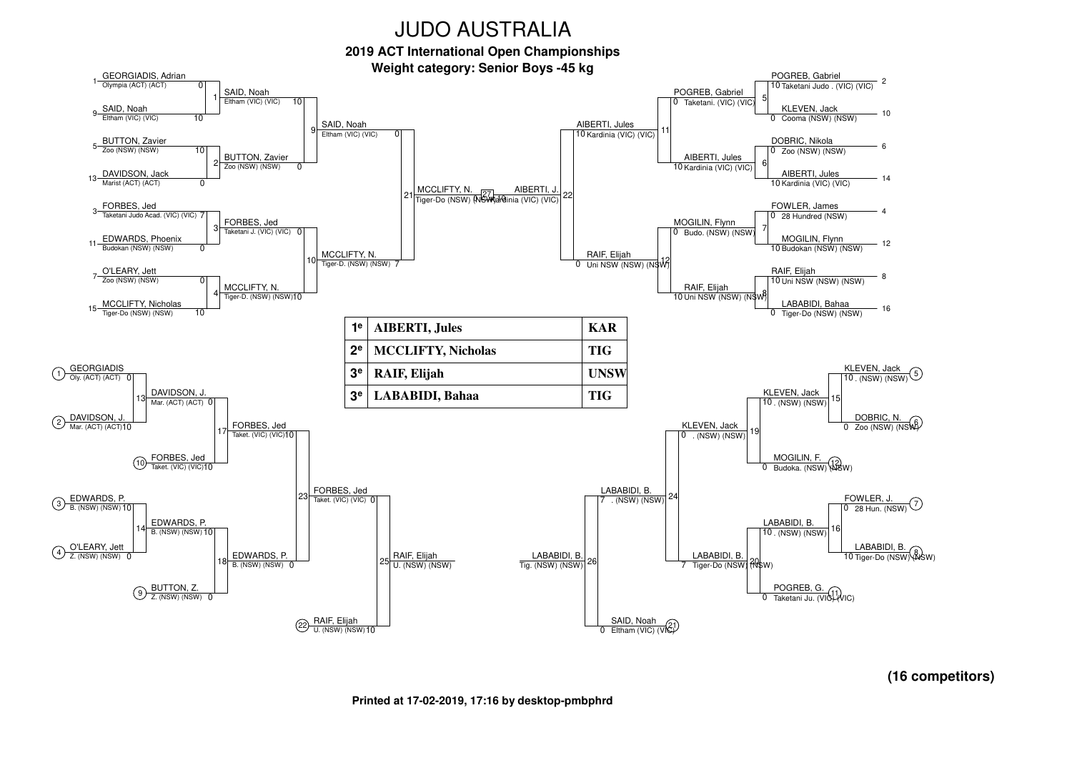**2019 ACT International Open Championships**



**(16 competitors)**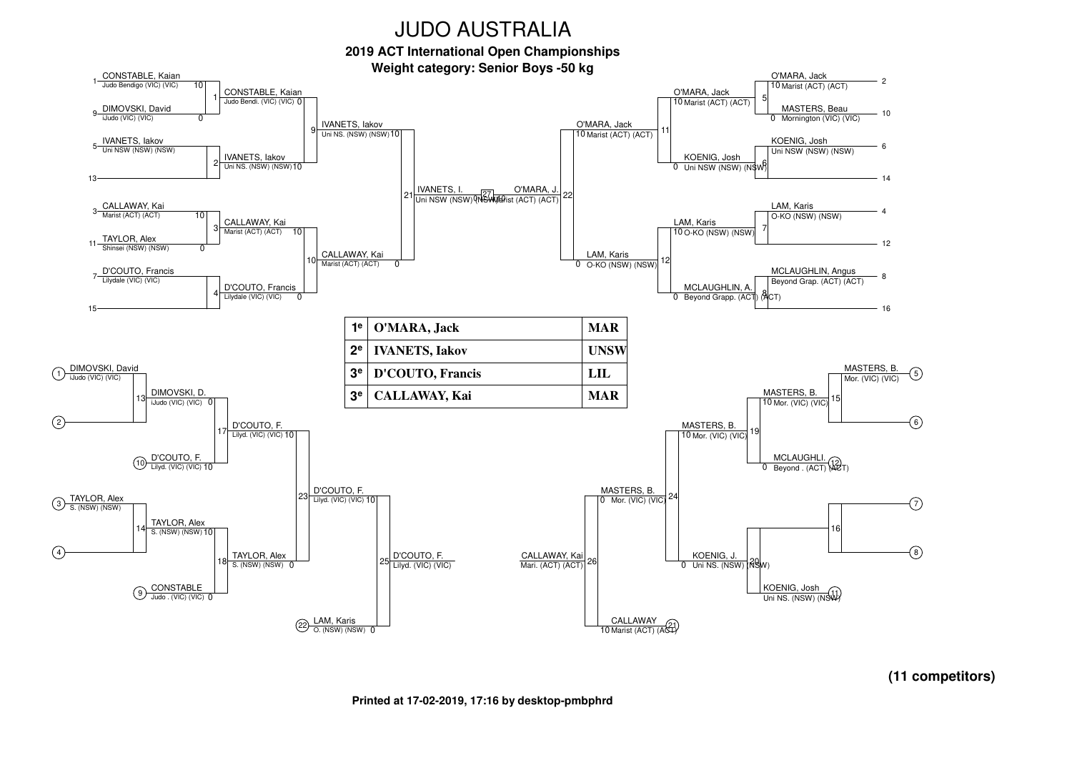**2019 ACT International Open Championships**





**(11 competitors)**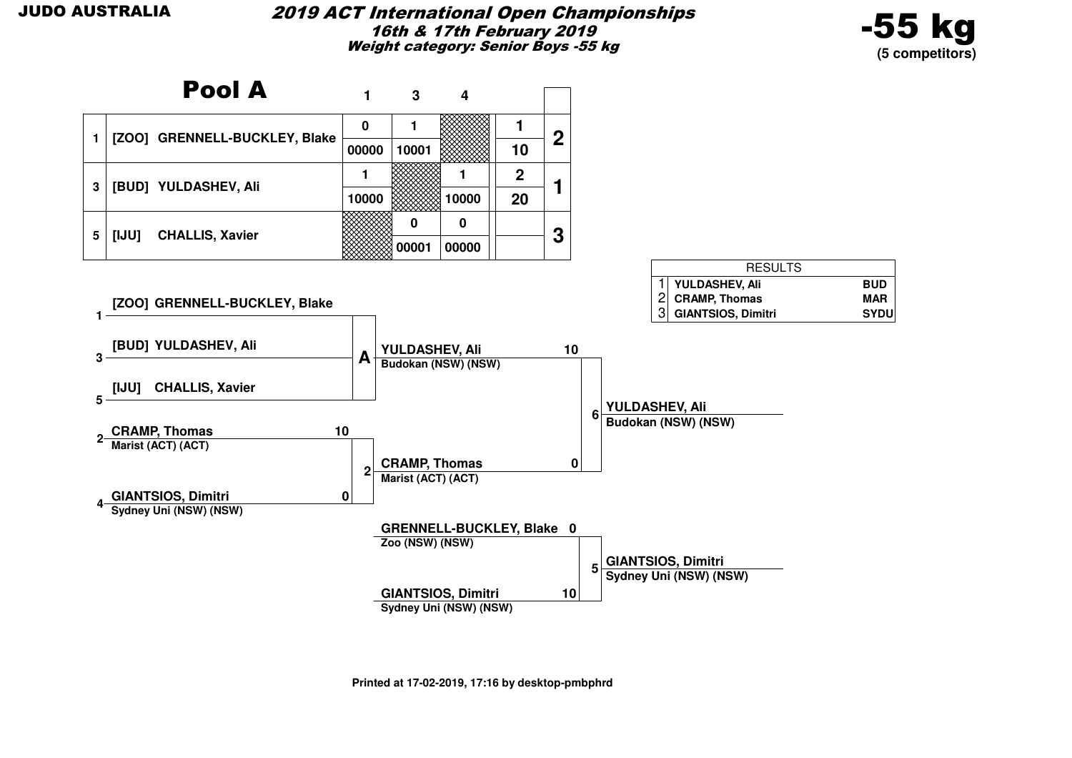

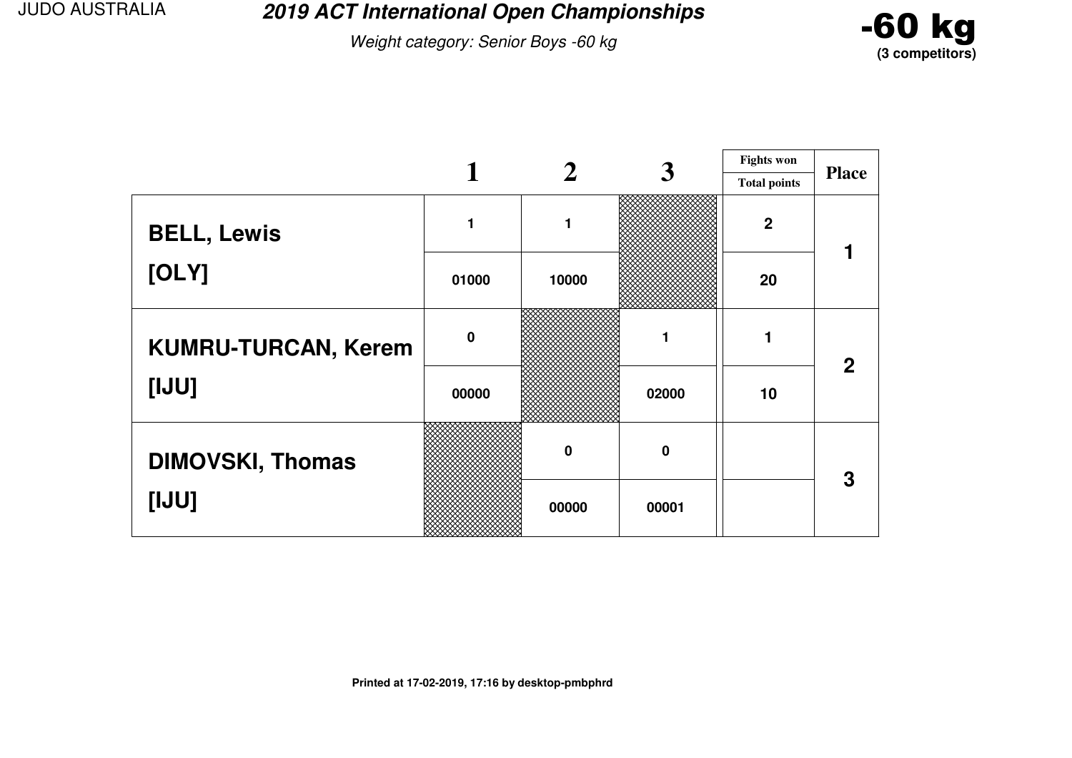**2019 ACT International Open Championships**

Weight category: Senior Boys -60 kg



|                            |             |             | 3                | <b>Fights won</b>   |              |
|----------------------------|-------------|-------------|------------------|---------------------|--------------|
|                            |             |             |                  | <b>Total points</b> | <b>Place</b> |
| <b>BELL, Lewis</b>         |             | 1           |                  | $\mathbf{2}$        |              |
| [OLY]                      | 01000       | 10000       |                  | 20                  |              |
| <b>KUMRU-TURCAN, Kerem</b> | $\mathbf 0$ |             |                  |                     | $\mathbf 2$  |
| [UU]                       | 00000       |             | 02000            | 10                  |              |
| <b>DIMOVSKI, Thomas</b>    |             | $\mathbf 0$ | $\boldsymbol{0}$ |                     | 3            |
| [IJU]                      |             | 00000       | 00001            |                     |              |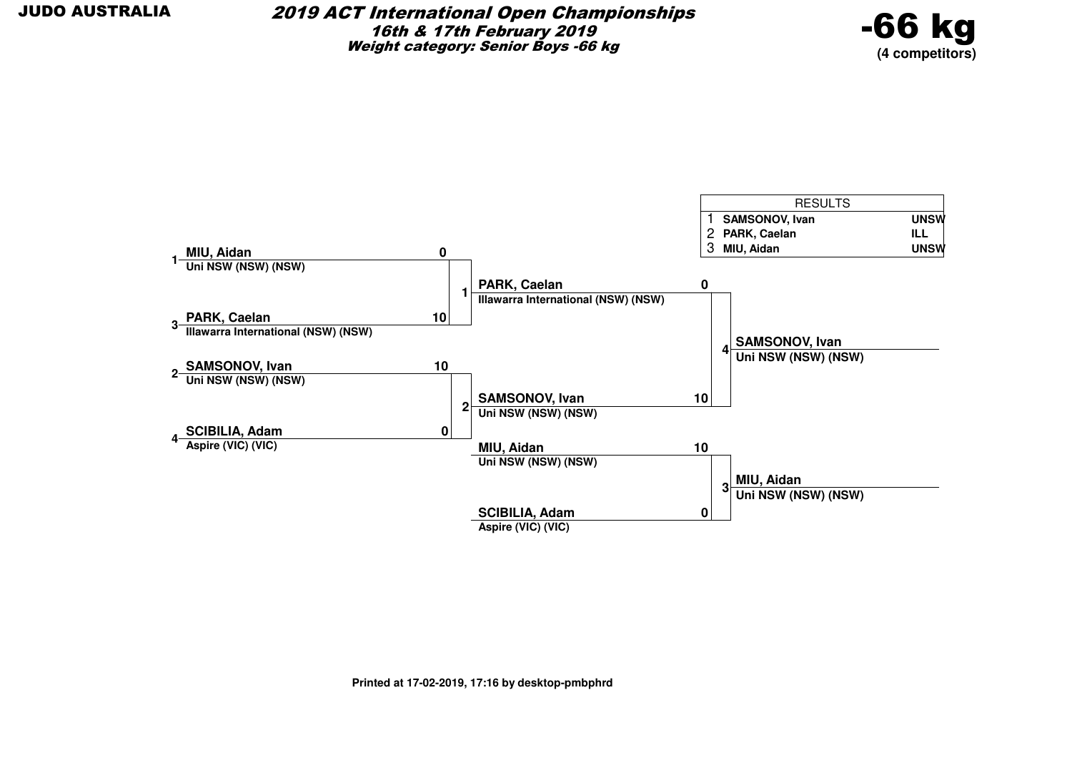

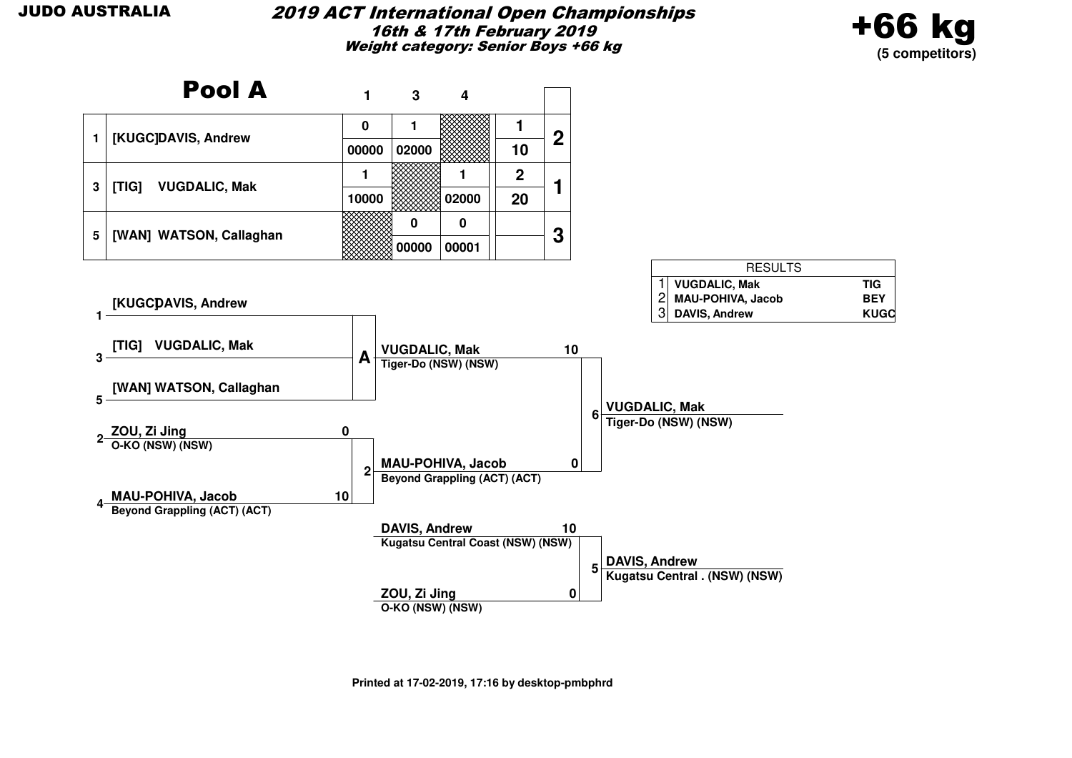

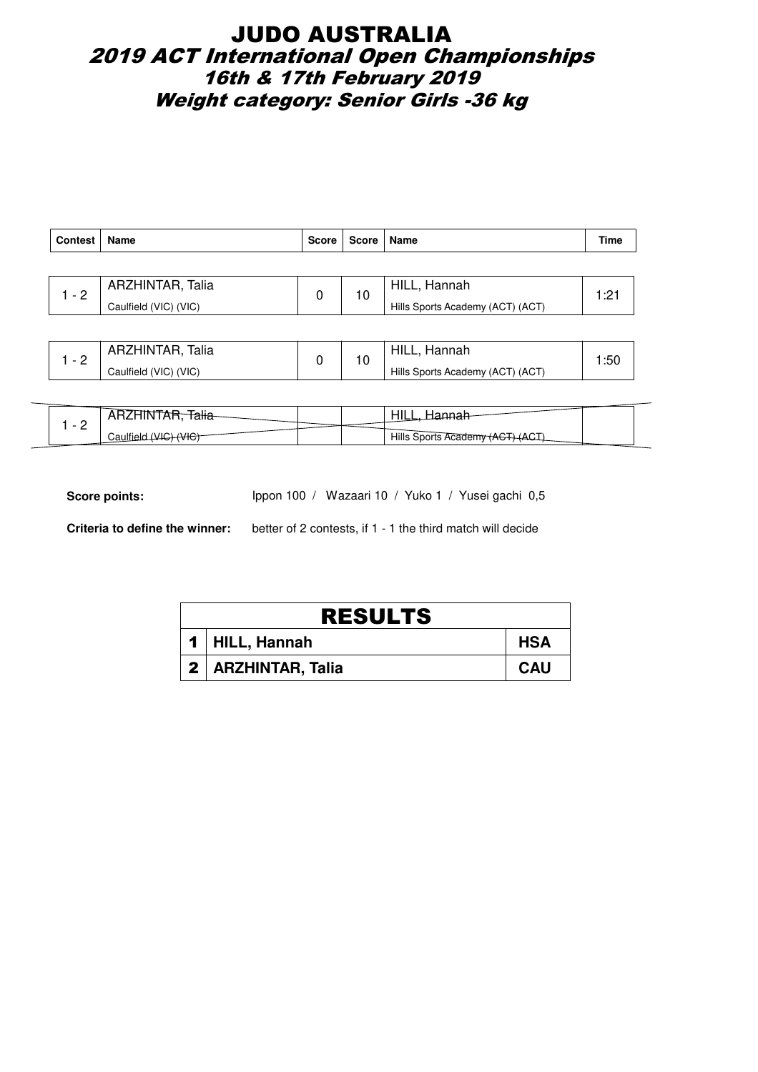## JUDO AUSTRALIA 2019 ACT International Open Championships 16th & 17th February 2019 Weight category: Senior Girls -36 kg

| <b>Contest</b> | Name                  | <b>Score</b> | Score   Name                     |              | Time |
|----------------|-----------------------|--------------|----------------------------------|--------------|------|
|                |                       |              |                                  |              |      |
| $-2$           | ARZHINTAR, Talia      |              | 10                               | HILL, Hannah | 1:21 |
|                | Caulfield (VIC) (VIC) |              | Hills Sports Academy (ACT) (ACT) |              |      |
|                |                       |              |                                  |              |      |

|   | ARZHINTAR, Talia      |  | HILL.<br>Hannah                  |  |
|---|-----------------------|--|----------------------------------|--|
| - | Caulfield (VIC) (VIC) |  | Hills Sports Academy (ACT) (ACT) |  |

| $\overline{\phantom{a}}$ | ana   |  | -----                   |  |
|--------------------------|-------|--|-------------------------|--|
| -                        | تau⊞د |  | Hills Sports Academy (A |  |

Score points: Ippon 100 / Wazaari 10 / Yuko 1 / Yusei gachi 0,5

**Criteria to define the winner:** better of 2 contests, if 1 - 1 the third match will decide

| <b>RESULTS</b> |                      |            |  |  |  |
|----------------|----------------------|------------|--|--|--|
|                | 1 HILL, Hannah       | <b>HSA</b> |  |  |  |
|                | 2   ARZHINTAR, Talia | <b>CAU</b> |  |  |  |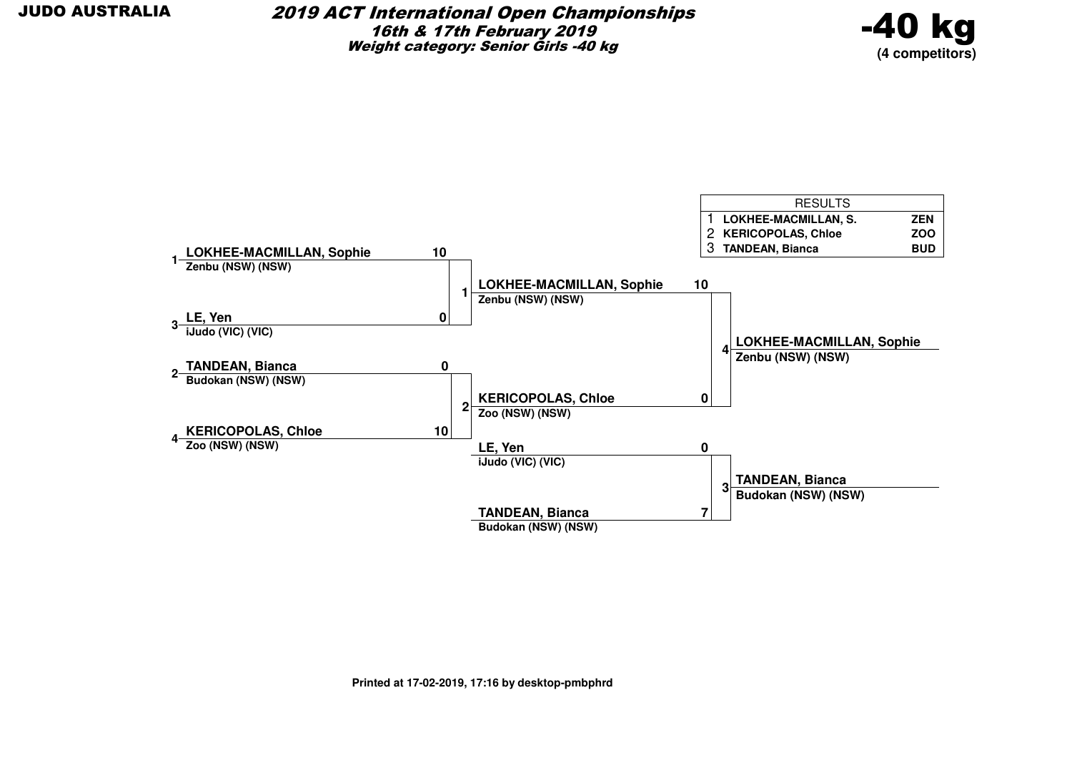

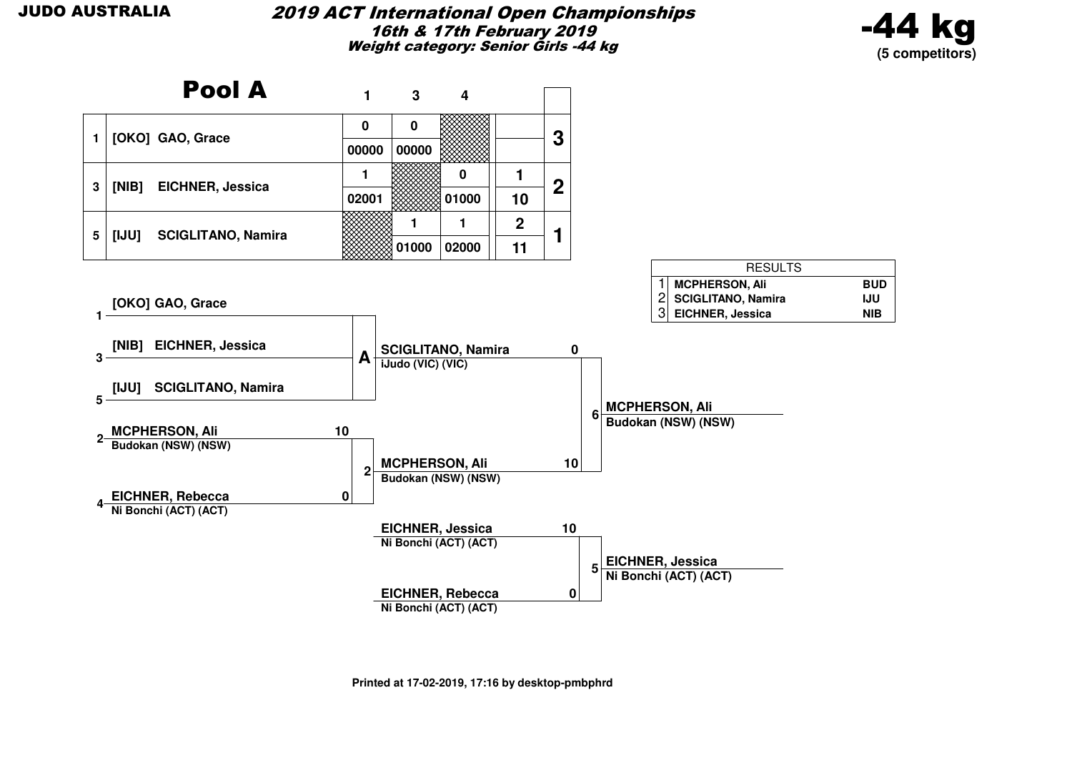#### 2019 ACT International Open Championships16th & 17th February 2019Weight category: Senior Girls -44 kg



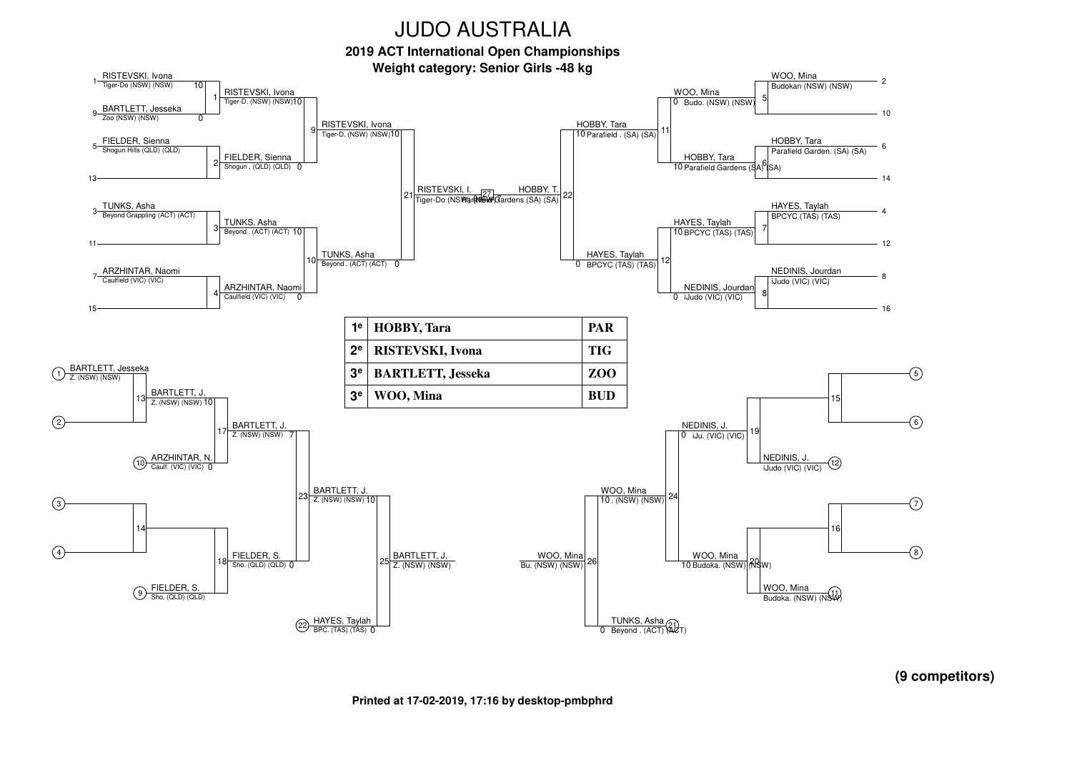**2019 ACT International Open Championships**



**(9 competitors)**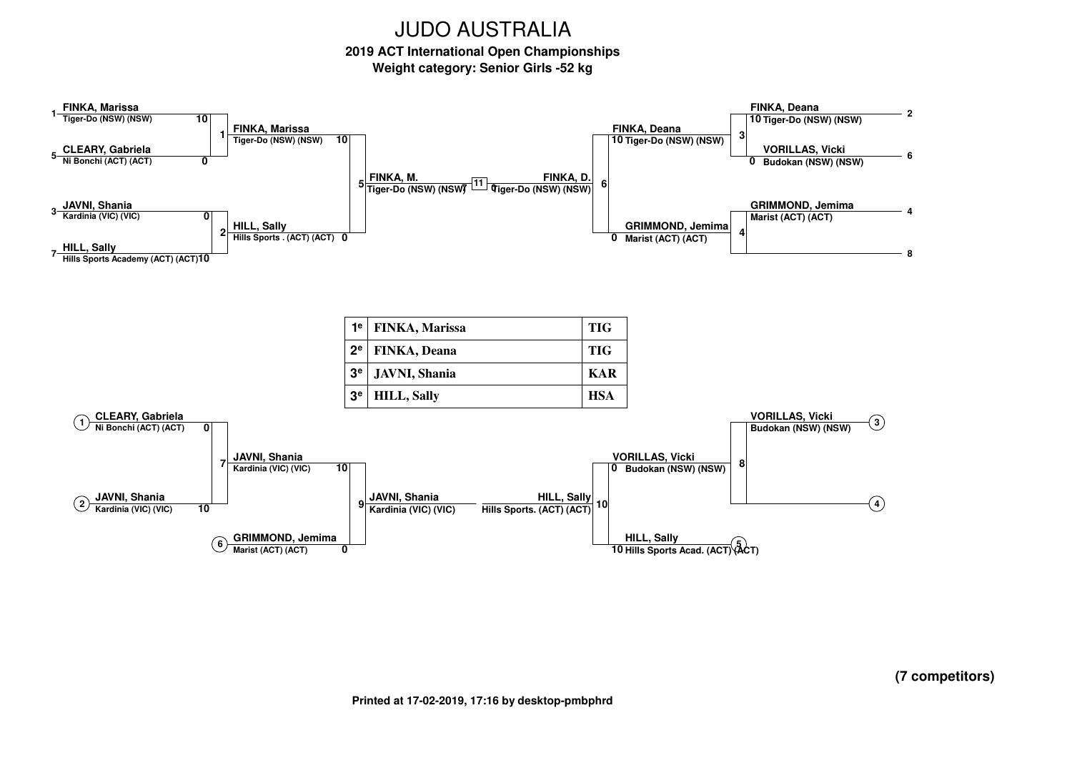**2019 ACT International Open ChampionshipsWeight category: Senior Girls -52 kg**

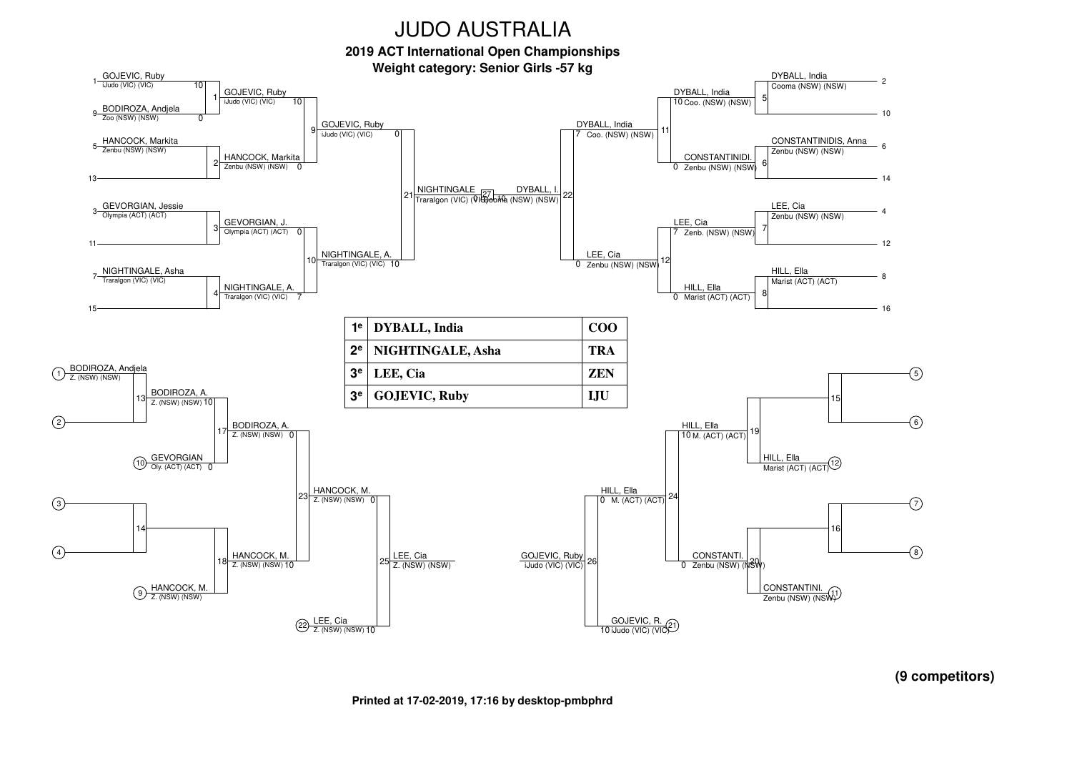**2019 ACT International Open Championships**



**(9 competitors)**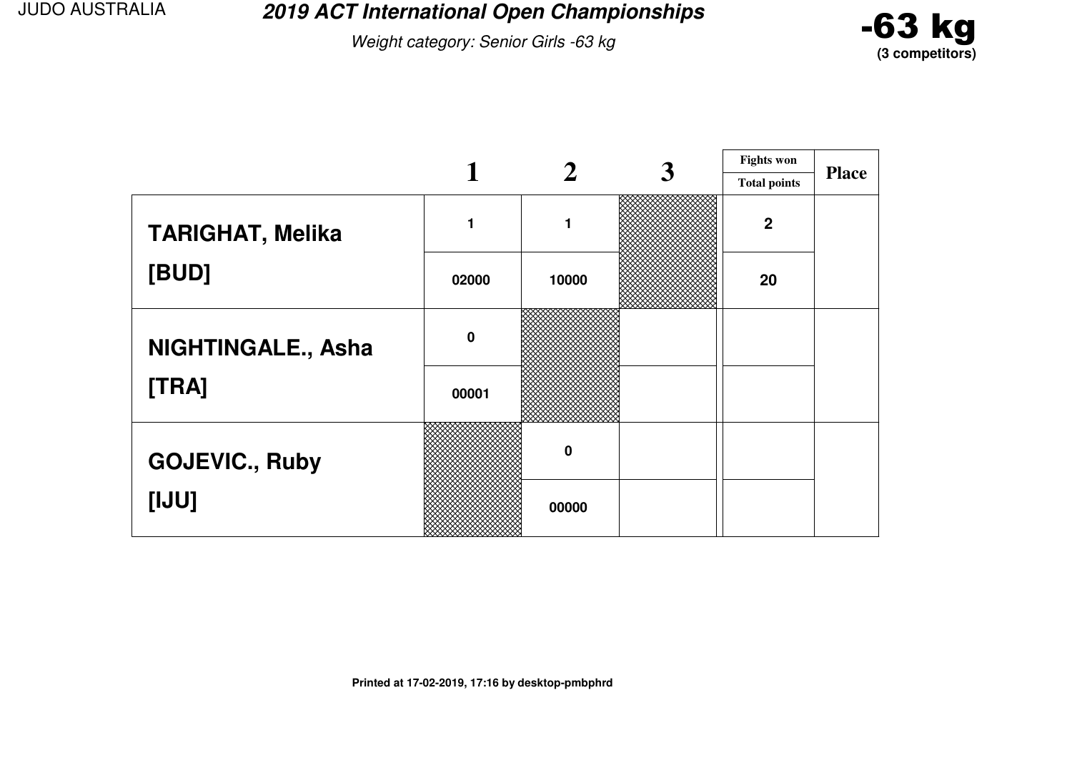**2019 ACT International Open Championships**

Weight category: Senior Girls -63 kg



|                         |             |          | <b>Fights won</b>   |              |
|-------------------------|-------------|----------|---------------------|--------------|
|                         |             |          | <b>Total points</b> | <b>Place</b> |
| <b>TARIGHAT, Melika</b> | 1           |          | $\overline{2}$      |              |
| [BUD]                   | 02000       | 10000    | 20                  |              |
| NIGHTINGALE., Asha      | $\mathbf 0$ |          |                     |              |
| [TRA]                   | 00001       |          |                     |              |
| <b>GOJEVIC., Ruby</b>   |             | $\bf{0}$ |                     |              |
| [IJU]                   |             | 00000    |                     |              |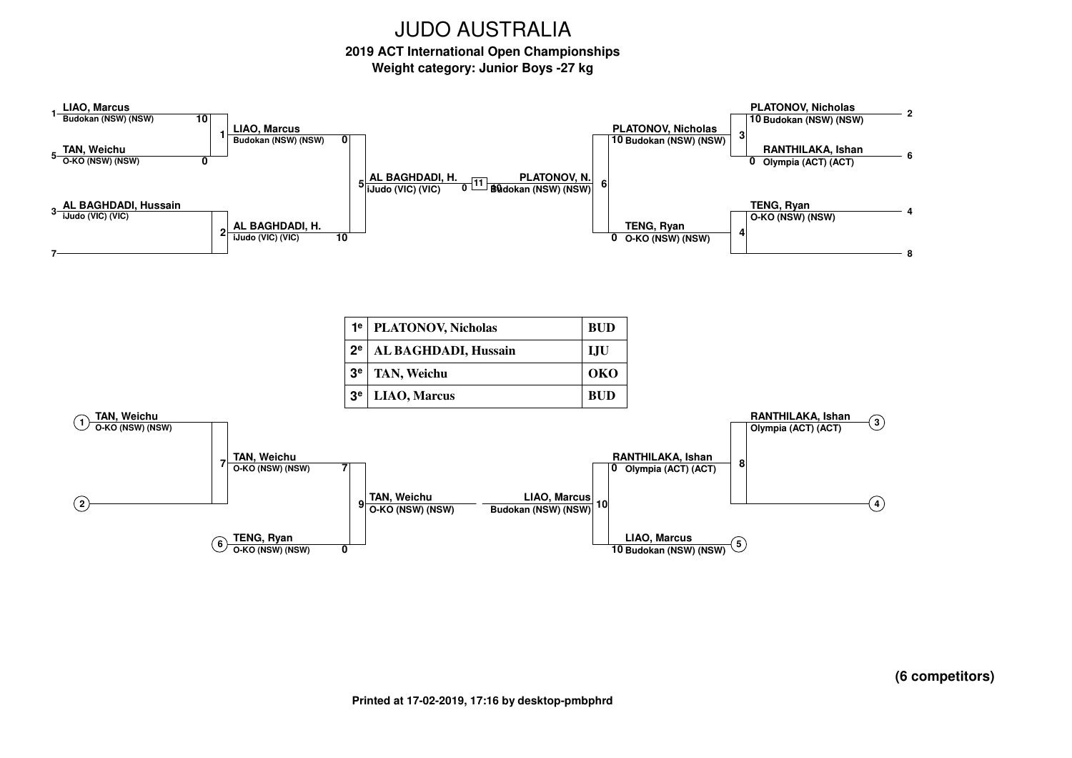# **2019 ACT International Open Championships**

**Weight category: Junior Boys -27 kg**



**(6 competitors)**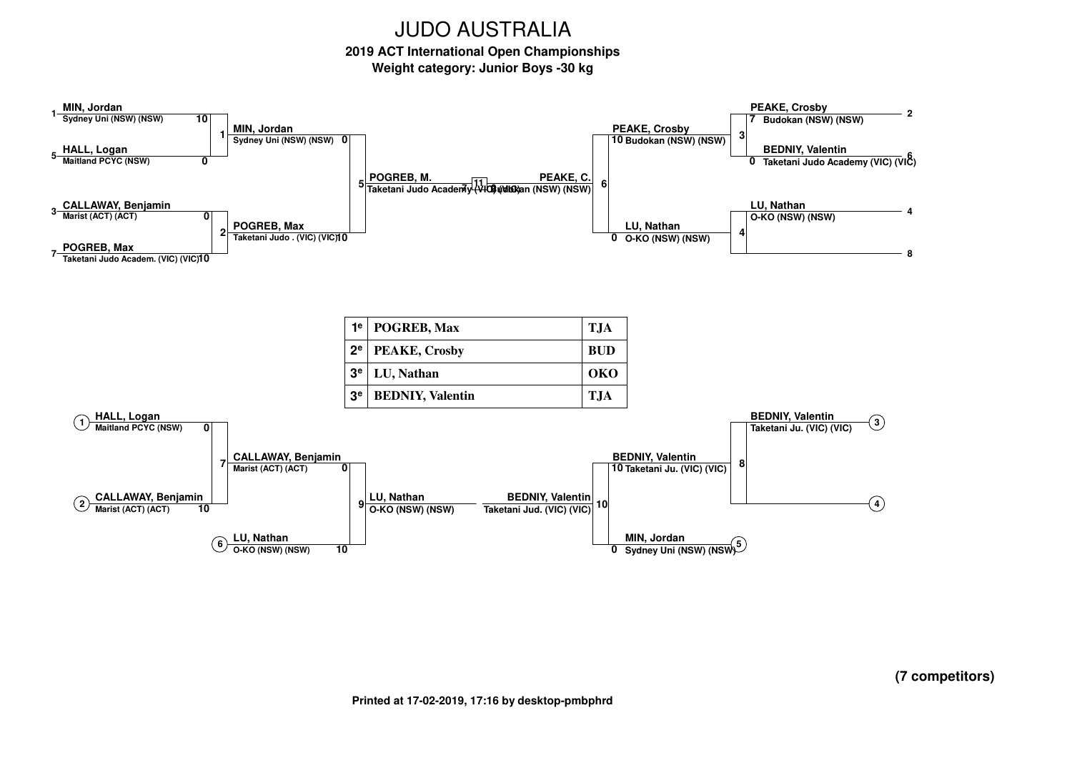## **2019 ACT International Open Championships**

**Weight category: Junior Boys -30 kg**

![](_page_55_Figure_3.jpeg)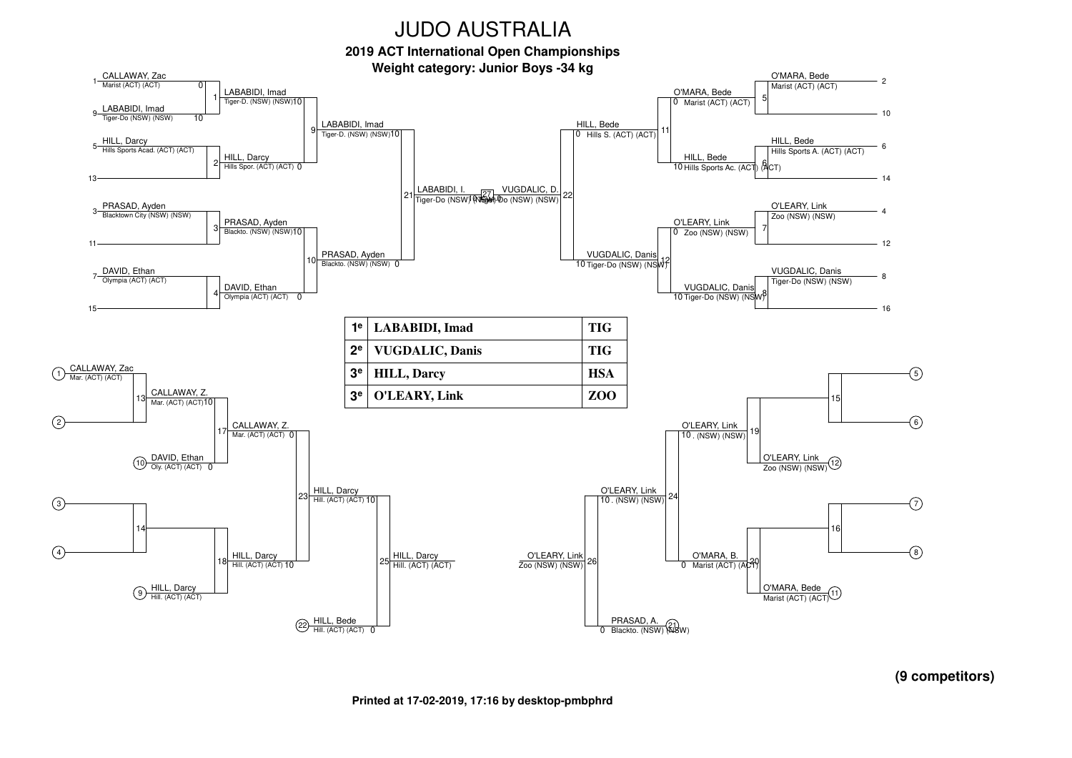**2019 ACT International Open Championships**

![](_page_56_Figure_2.jpeg)

![](_page_56_Figure_3.jpeg)

**(9 competitors)**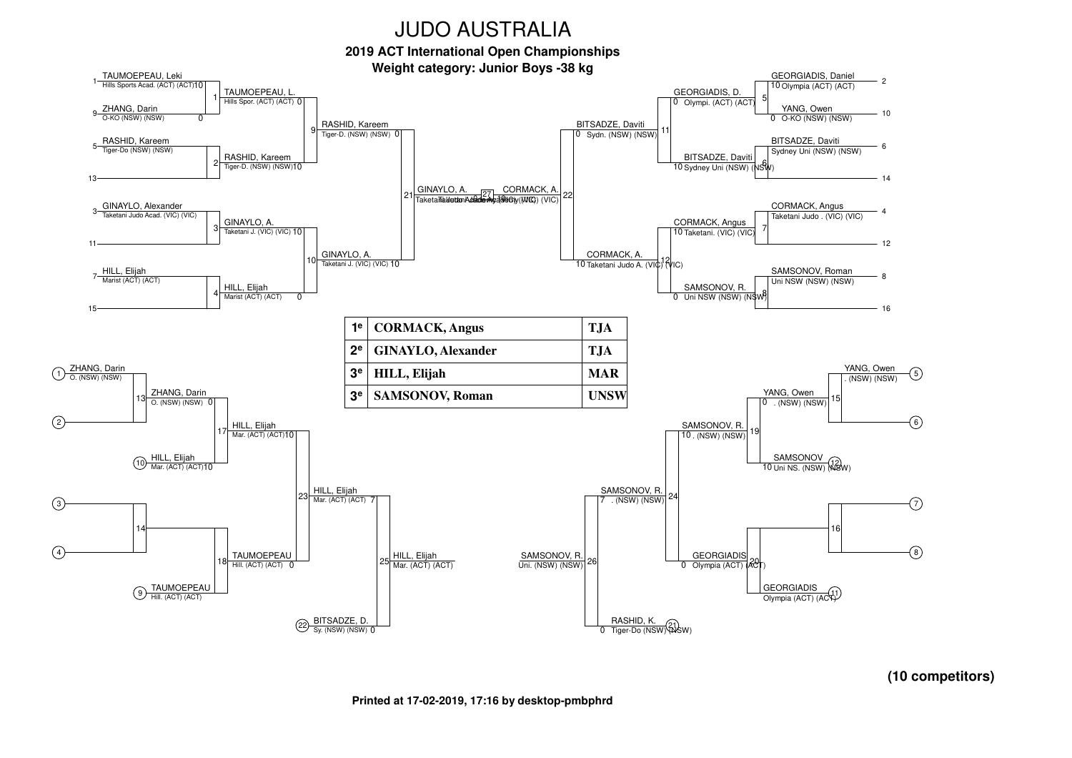**2019 ACT International Open Championships**

![](_page_57_Figure_2.jpeg)

**(10 competitors)**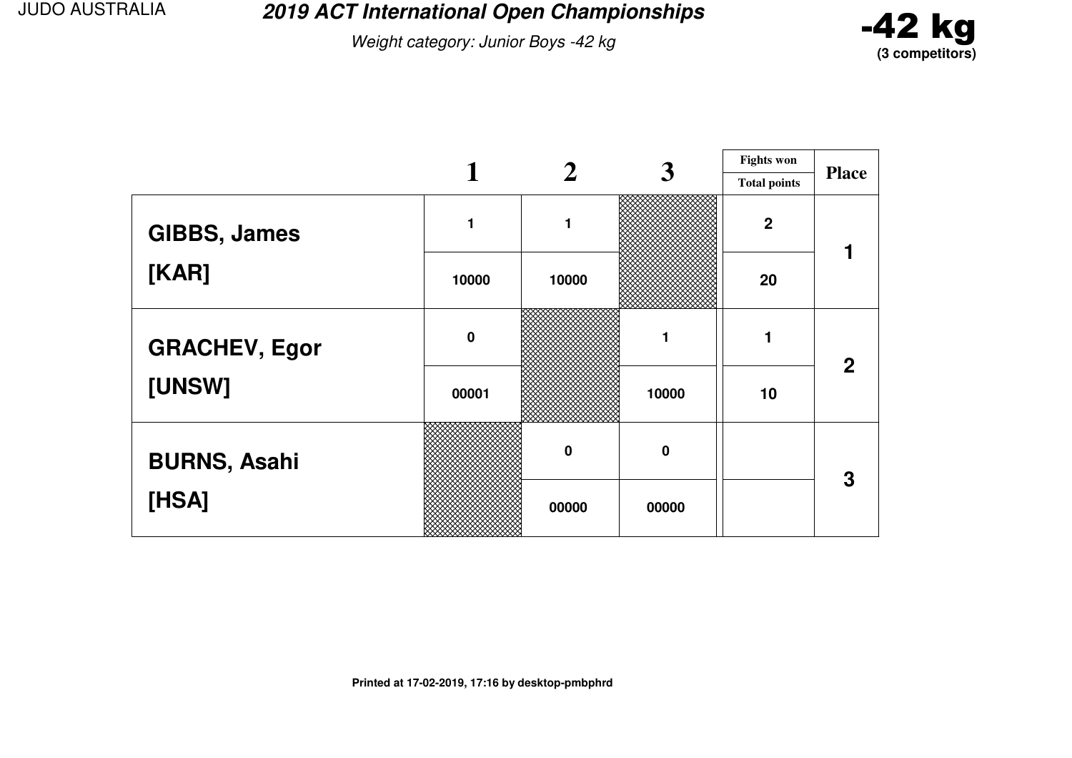**2019 ACT International Open Championships**

Weight category: Junior Boys -42 kg

![](_page_58_Picture_3.jpeg)

|                      |             |                  | 3           | <b>Fights won</b>   |              |
|----------------------|-------------|------------------|-------------|---------------------|--------------|
|                      |             |                  |             | <b>Total points</b> | <b>Place</b> |
| <b>GIBBS, James</b>  |             | 1                |             | $\boldsymbol{2}$    |              |
| [KAR]                | 10000       | 10000            |             | 20                  |              |
| <b>GRACHEV, Egor</b> | $\mathbf 0$ |                  |             |                     | $\mathbf{2}$ |
| [UNSW]               | 00001       |                  | 10000       | 10                  |              |
| <b>BURNS, Asahi</b>  |             | $\boldsymbol{0}$ | $\mathbf 0$ |                     | 3            |
| [HSA]                |             | 00000            | 00000       |                     |              |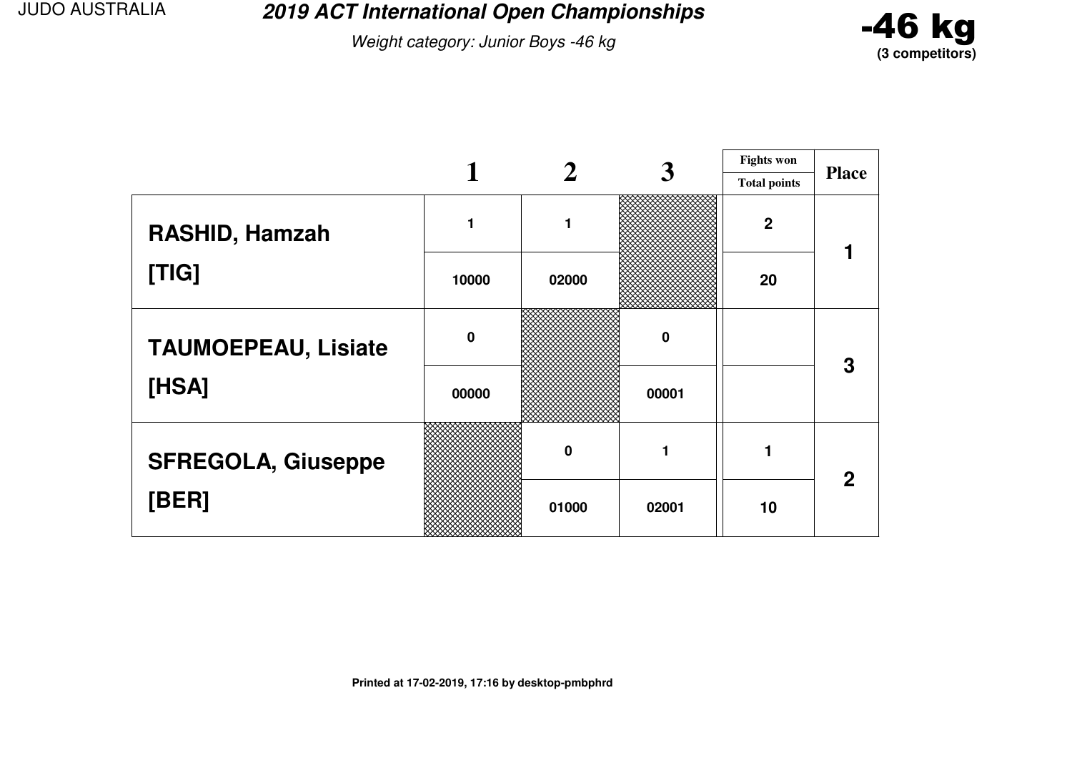**2019 ACT International Open Championships**

Weight category: Junior Boys -46 kg

![](_page_59_Picture_3.jpeg)

|                            |             |          | 3           | <b>Fights won</b>   |              |
|----------------------------|-------------|----------|-------------|---------------------|--------------|
|                            |             |          |             | <b>Total points</b> | <b>Place</b> |
| RASHID, Hamzah             |             | 1        |             | $\overline{2}$      |              |
| [TIG]                      | 10000       | 02000    |             | 20                  |              |
| <b>TAUMOEPEAU, Lisiate</b> | $\mathbf 0$ |          | $\mathbf 0$ |                     | 3            |
| [HSA]                      | 00000       |          | 00001       |                     |              |
| <b>SFREGOLA, Giuseppe</b>  |             | $\bf{0}$ |             |                     | $\mathbf 2$  |
| [BER]                      |             | 01000    | 02001       | 10                  |              |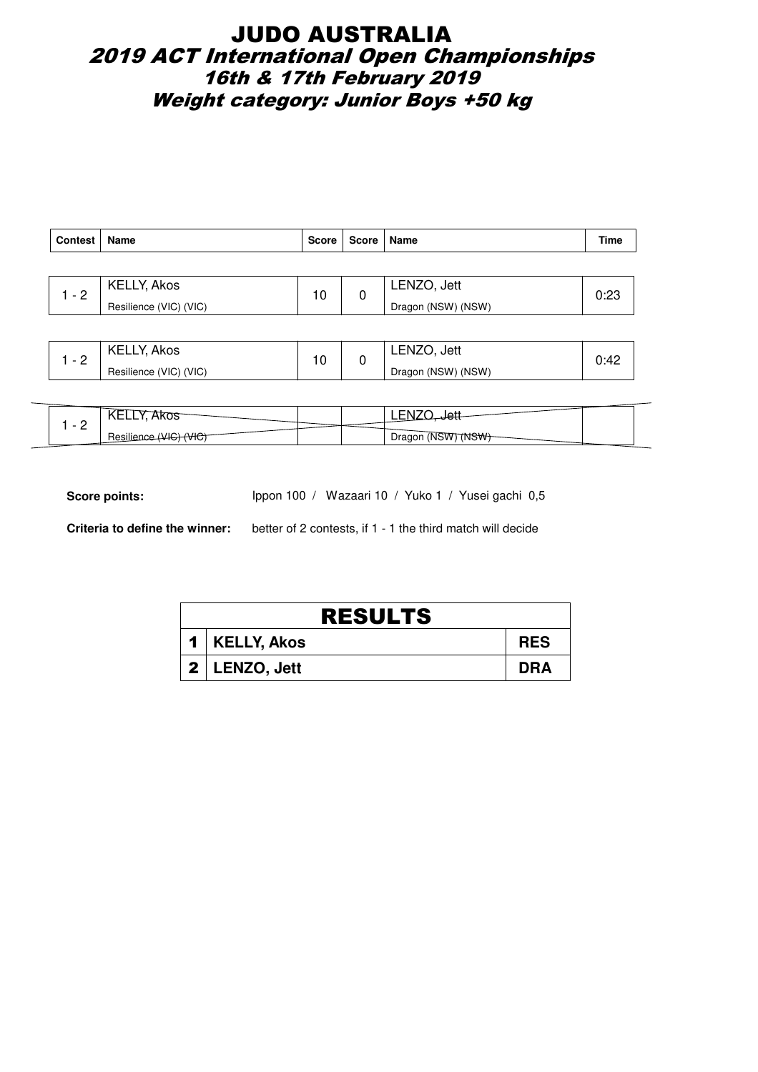## JUDO AUSTRALIA 2019 ACT International Open Championships 16th & 17th February 2019 Weight category: Junior Boys +50 kg

| Contest | Name                   | Score | Score   Name |                    | <b>Time</b> |
|---------|------------------------|-------|--------------|--------------------|-------------|
|         |                        |       |              |                    |             |
| $-2$    | KELLY, Akos            | 10    | 0            | LENZO, Jett        | 0:23        |
|         | Resilience (VIC) (VIC) |       |              | Dragon (NSW) (NSW) |             |

| ◠<br>$\overline{\phantom{0}}$ | <b>KELLY, Akos</b>     | $\overline{10}$ | LENZO.<br>Jett     |                   |
|-------------------------------|------------------------|-----------------|--------------------|-------------------|
| -                             | Resilience (VIC) (VIC) | J               | Dragon (NSW) (NSW) | v. <del>4</del> 4 |

| ັ<br>◝▬▬▬<br>$\overline{\phantom{a}}$ |     | --                           |  |
|---------------------------------------|-----|------------------------------|--|
| <u>_</u><br>.<br>າບະ                  | ग∪, | Dragon<br>ベルハ<br><b>INSW</b> |  |

Score points: Ippon 100 / Wazaari 10 / Yuko 1 / Yusei gachi 0,5

**Criteria to define the winner:** better of 2 contests, if 1 - 1 the third match will decide

| <b>RESULTS</b> |                   |            |  |  |  |
|----------------|-------------------|------------|--|--|--|
|                | 1   KELLY, Akos   | <b>RES</b> |  |  |  |
|                | $2$   LENZO, Jett | DRA        |  |  |  |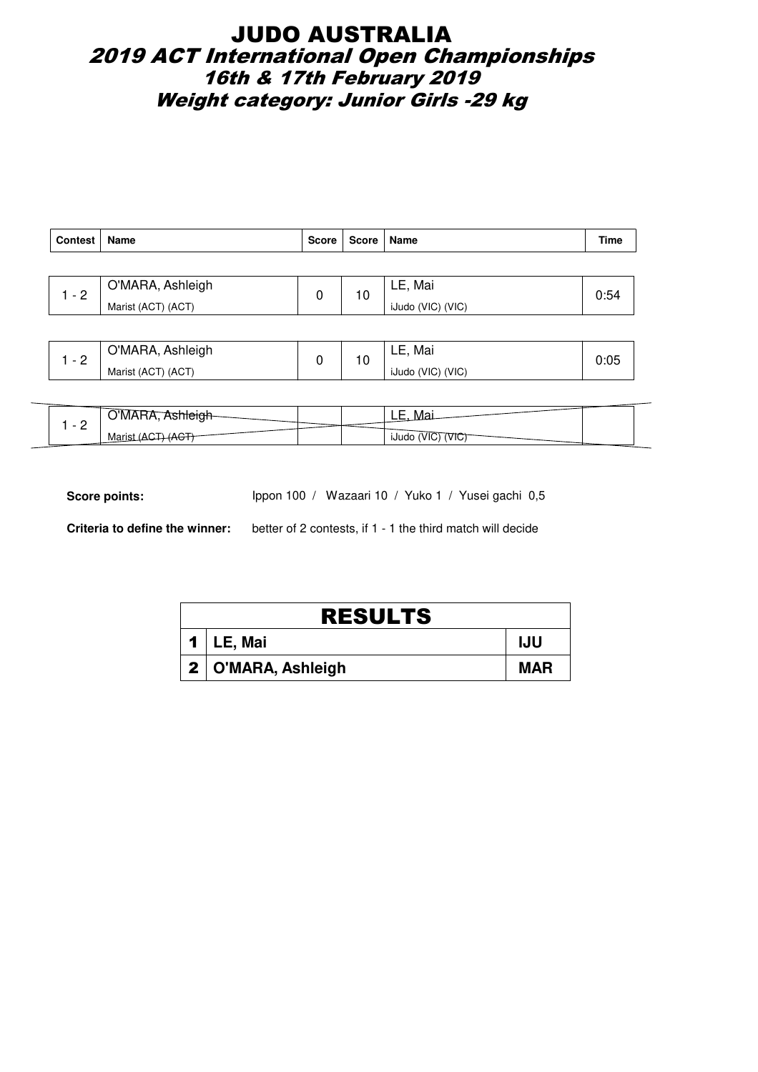## JUDO AUSTRALIA 2019 ACT International Open Championships 16th & 17th February 2019 Weight category: Junior Girls -29 kg

| <b>Contest</b> | Name               | Score | Score   Name |                   | Time |
|----------------|--------------------|-------|--------------|-------------------|------|
|                |                    |       |              |                   |      |
| $1 - 2$        | O'MARA, Ashleigh   | 0     | 10           | LE, Mai           | 0:54 |
|                | Marist (ACT) (ACT) |       |              | iJudo (VIC) (VIC) |      |
|                |                    |       |              |                   |      |

| ⌒        | O'MARA, Ashleigh   | $\overline{\phantom{a}}$ | Mai<br>-<br>LL,   |      |
|----------|--------------------|--------------------------|-------------------|------|
| <u>_</u> | Marist (ACT) (ACT) | טי                       | iJudo (VIC) (VIC) | u.uJ |

| -<br>$\overline{\phantom{0}}$ | 'NV     |  | -<br>--<br>--                  |  |
|-------------------------------|---------|--|--------------------------------|--|
| -                             | iviali: |  | Тι<br><b>IJUD</b><br>vu<br>. . |  |

Score points: Ippon 100 / Wazaari 10 / Yuko 1 / Yusei gachi 0,5

**Criteria to define the winner:** better of 2 contests, if 1 - 1 the third match will decide

| <b>RESULTS</b>       |            |  |  |  |  |  |
|----------------------|------------|--|--|--|--|--|
| 1   LE, Mai          | <b>IJU</b> |  |  |  |  |  |
| 2   O'MARA, Ashleigh | <b>MAR</b> |  |  |  |  |  |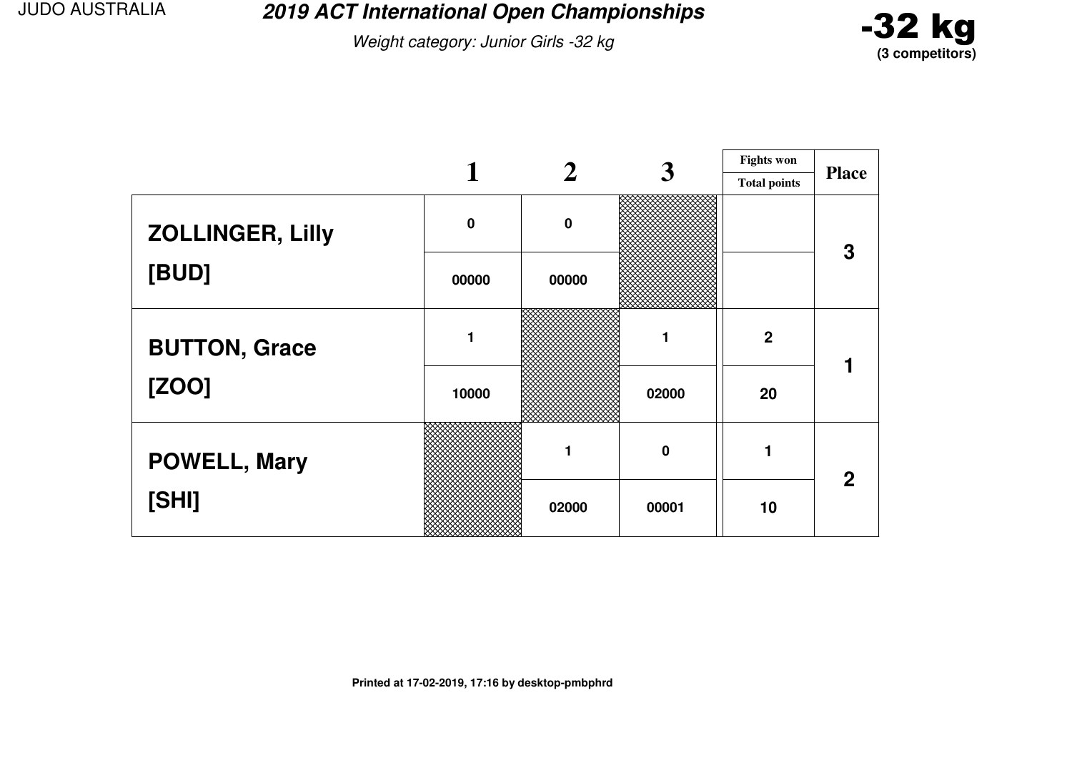**2019 ACT International Open Championships**

Weight category: Junior Girls -32 kg

![](_page_62_Picture_3.jpeg)

|                         |             |          | 3        | <b>Fights won</b>   |              |  |
|-------------------------|-------------|----------|----------|---------------------|--------------|--|
|                         |             |          |          | <b>Total points</b> | <b>Place</b> |  |
| <b>ZOLLINGER, Lilly</b> | $\mathbf 0$ | $\bf{0}$ |          |                     | 3            |  |
| [BUD]                   | 00000       | 00000    |          |                     |              |  |
| <b>BUTTON, Grace</b>    |             |          |          | $\overline{2}$      |              |  |
| [ZOO]                   | 10000       |          | 02000    | 20                  |              |  |
| <b>POWELL, Mary</b>     |             |          | $\bf{0}$ |                     | $\mathbf 2$  |  |
| [SHI]                   |             | 02000    | 00001    | 10                  |              |  |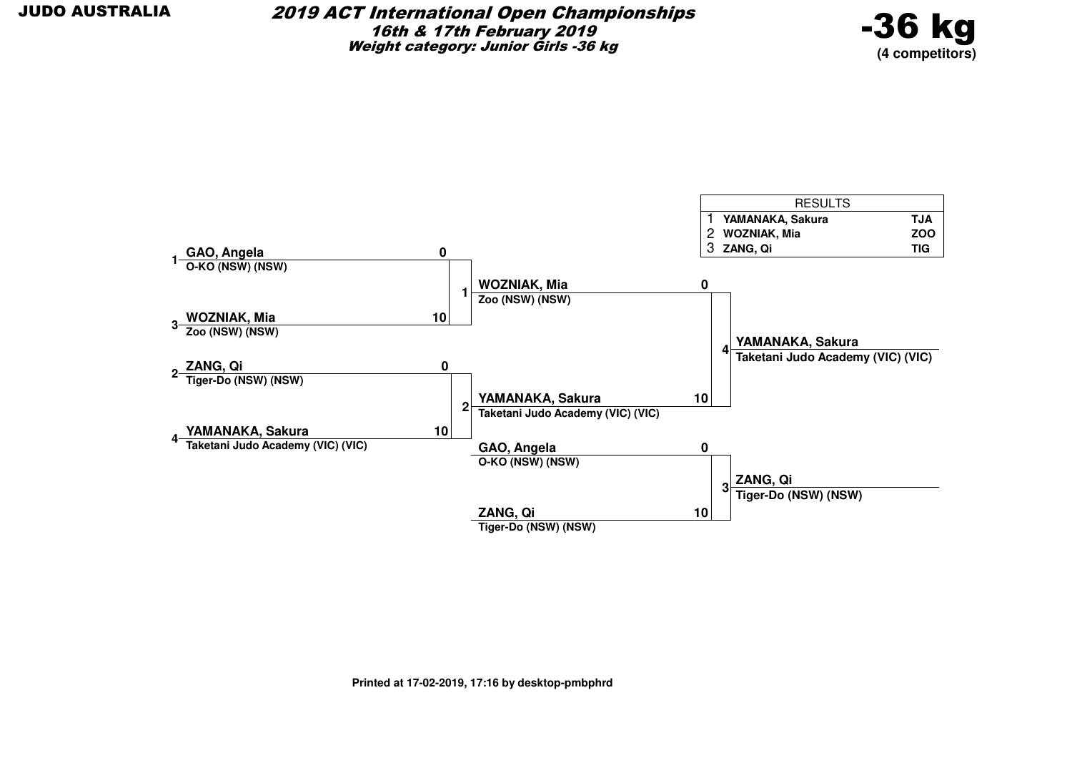![](_page_63_Picture_2.jpeg)

![](_page_63_Figure_3.jpeg)